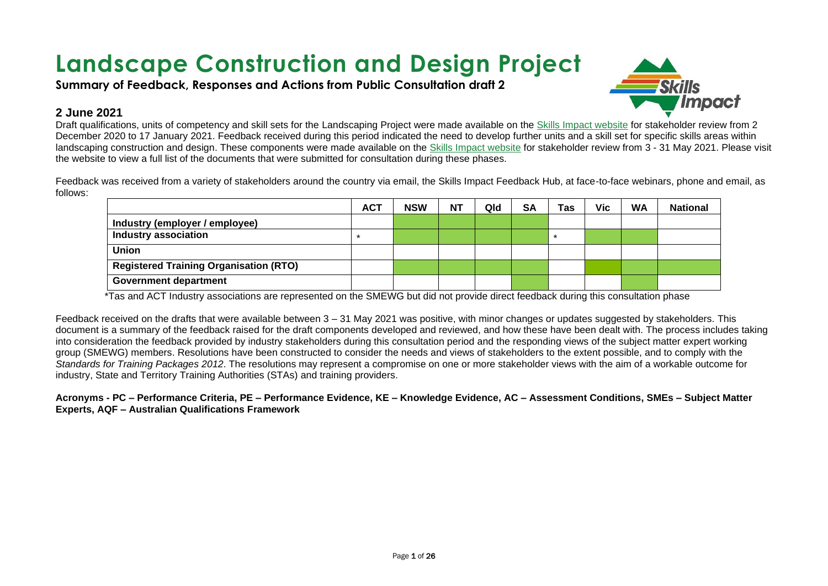# **Landscape Construction and Design Project**

**Summary of Feedback, Responses and Actions from Public Consultation draft 2**



#### **2 June 2021**

Draft qualifications, units of competency and skill sets for the Landscaping Project were made available on the [Skills Impact website](https://www.skillsimpact.com.au/horticulture-conservation-and-land-management/training-package-projects/landscaping-project/) for stakeholder review from 2 December 2020 to 17 January 2021. Feedback received during this period indicated the need to develop further units and a skill set for specific skills areas within landscaping construction and design. These components were made available on the [Skills Impact website](https://www.skillsimpact.com.au/horticulture-conservation-and-land-management/training-package-projects/landscaping-project/) for stakeholder review from 3 - 31 May 2021. Please visit the website to view a full list of the documents that were submitted for consultation during these phases.

Feedback was received from a variety of stakeholders around the country via email, the Skills Impact Feedback Hub, at face-to-face webinars, phone and email, as follows:

|                                               | <b>ACT</b> | <b>NSW</b> | <b>NT</b> | Qld | <b>SA</b> | Tas | Vic | <b>WA</b> | <b>National</b> |
|-----------------------------------------------|------------|------------|-----------|-----|-----------|-----|-----|-----------|-----------------|
| Industry (employer / employee)                |            |            |           |     |           |     |     |           |                 |
| <b>Industry association</b>                   |            |            |           |     |           | *   |     |           |                 |
| <b>Union</b>                                  |            |            |           |     |           |     |     |           |                 |
| <b>Registered Training Organisation (RTO)</b> |            |            |           |     |           |     |     |           |                 |
| <b>Government department</b>                  |            |            |           |     |           |     |     |           |                 |

\*Tas and ACT Industry associations are represented on the SMEWG but did not provide direct feedback during this consultation phase

Feedback received on the drafts that were available between 3 – 31 May 2021 was positive, with minor changes or updates suggested by stakeholders. This document is a summary of the feedback raised for the draft components developed and reviewed, and how these have been dealt with. The process includes taking into consideration the feedback provided by industry stakeholders during this consultation period and the responding views of the subject matter expert working group (SMEWG) members. Resolutions have been constructed to consider the needs and views of stakeholders to the extent possible, and to comply with the *Standards for Training Packages 2012*. The resolutions may represent a compromise on one or more stakeholder views with the aim of a workable outcome for industry, State and Territory Training Authorities (STAs) and training providers.

**Acronyms - PC – Performance Criteria, PE – Performance Evidence, KE – Knowledge Evidence, AC – Assessment Conditions, SMEs – Subject Matter Experts, AQF – Australian Qualifications Framework**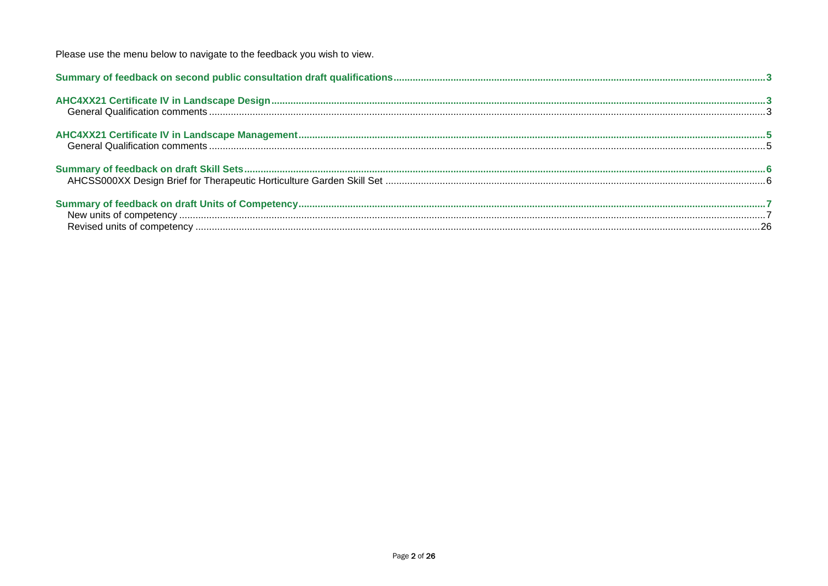Please use the menu below to navigate to the feedback you wish to view.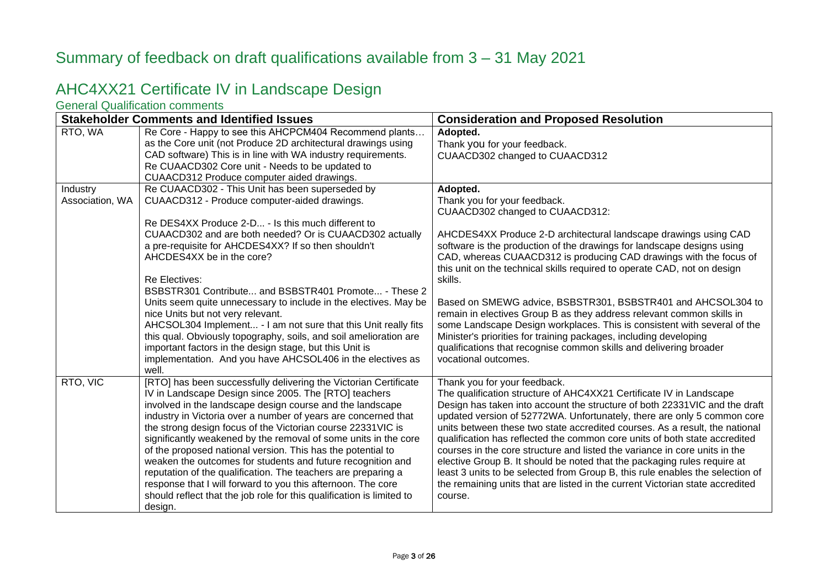### <span id="page-2-0"></span>Summary of feedback on draft qualifications available from 3 – 31 May 2021

### <span id="page-2-1"></span>AHC4XX21 Certificate IV in Landscape Design

<span id="page-2-2"></span>General Qualification comments

|                 | <b>Stakeholder Comments and Identified Issues</b>                     | <b>Consideration and Proposed Resolution</b>                                  |
|-----------------|-----------------------------------------------------------------------|-------------------------------------------------------------------------------|
| RTO, WA         | Re Core - Happy to see this AHCPCM404 Recommend plants                | Adopted.                                                                      |
|                 | as the Core unit (not Produce 2D architectural drawings using         | Thank you for your feedback.                                                  |
|                 | CAD software) This is in line with WA industry requirements.          | CUAACD302 changed to CUAACD312                                                |
|                 | Re CUAACD302 Core unit - Needs to be updated to                       |                                                                               |
|                 | CUAACD312 Produce computer aided drawings.                            |                                                                               |
| Industry        | Re CUAACD302 - This Unit has been superseded by                       | Adopted.                                                                      |
| Association, WA | CUAACD312 - Produce computer-aided drawings.                          | Thank you for your feedback.                                                  |
|                 |                                                                       | CUAACD302 changed to CUAACD312:                                               |
|                 | Re DES4XX Produce 2-D - Is this much different to                     |                                                                               |
|                 | CUAACD302 and are both needed? Or is CUAACD302 actually               | AHCDES4XX Produce 2-D architectural landscape drawings using CAD              |
|                 | a pre-requisite for AHCDES4XX? If so then shouldn't                   | software is the production of the drawings for landscape designs using        |
|                 | AHCDES4XX be in the core?                                             | CAD, whereas CUAACD312 is producing CAD drawings with the focus of            |
|                 |                                                                       | this unit on the technical skills required to operate CAD, not on design      |
|                 | <b>Re Electives:</b>                                                  | skills.                                                                       |
|                 | BSBSTR301 Contribute and BSBSTR401 Promote - These 2                  |                                                                               |
|                 | Units seem quite unnecessary to include in the electives. May be      | Based on SMEWG advice, BSBSTR301, BSBSTR401 and AHCSOL304 to                  |
|                 | nice Units but not very relevant.                                     | remain in electives Group B as they address relevant common skills in         |
|                 | AHCSOL304 Implement - I am not sure that this Unit really fits        | some Landscape Design workplaces. This is consistent with several of the      |
|                 | this qual. Obviously topography, soils, and soil amelioration are     | Minister's priorities for training packages, including developing             |
|                 | important factors in the design stage, but this Unit is               | qualifications that recognise common skills and delivering broader            |
|                 | implementation. And you have AHCSOL406 in the electives as            | vocational outcomes.                                                          |
|                 | well.                                                                 |                                                                               |
| RTO, VIC        | [RTO] has been successfully delivering the Victorian Certificate      | Thank you for your feedback.                                                  |
|                 | IV in Landscape Design since 2005. The [RTO] teachers                 | The qualification structure of AHC4XX21 Certificate IV in Landscape           |
|                 | involved in the landscape design course and the landscape             | Design has taken into account the structure of both 22331VIC and the draft    |
|                 | industry in Victoria over a number of years are concerned that        | updated version of 52772WA. Unfortunately, there are only 5 common core       |
|                 | the strong design focus of the Victorian course 22331VIC is           | units between these two state accredited courses. As a result, the national   |
|                 | significantly weakened by the removal of some units in the core       | qualification has reflected the common core units of both state accredited    |
|                 | of the proposed national version. This has the potential to           | courses in the core structure and listed the variance in core units in the    |
|                 | weaken the outcomes for students and future recognition and           | elective Group B. It should be noted that the packaging rules require at      |
|                 | reputation of the qualification. The teachers are preparing a         | least 3 units to be selected from Group B, this rule enables the selection of |
|                 | response that I will forward to you this afternoon. The core          | the remaining units that are listed in the current Victorian state accredited |
|                 | should reflect that the job role for this qualification is limited to | course.                                                                       |
|                 | design.                                                               |                                                                               |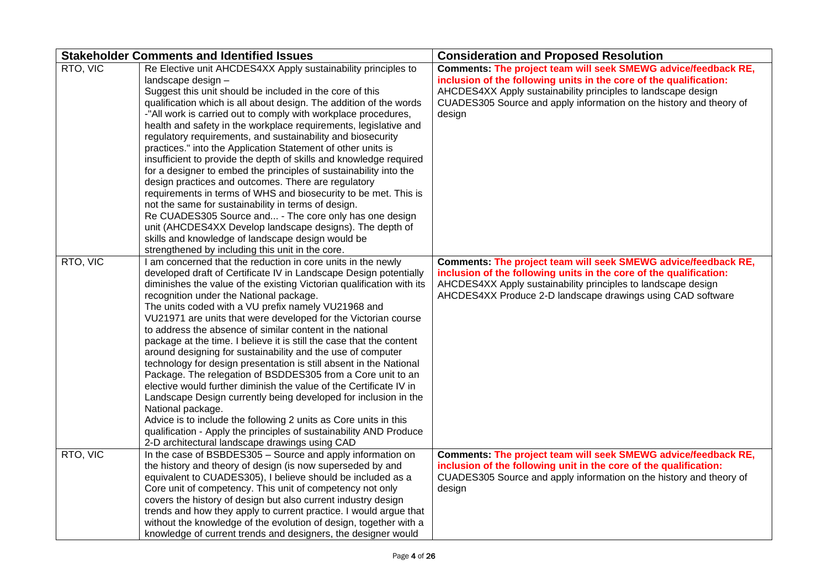|          | <b>Stakeholder Comments and Identified Issues</b>                                                                                                                                                                                                                                                                                                                                                                                                                                                                                                                                                                                                                                                                                                                                                                                                                                                                                                                                                                                                                                 | <b>Consideration and Proposed Resolution</b>                                                                                                                                                                                                                                           |
|----------|-----------------------------------------------------------------------------------------------------------------------------------------------------------------------------------------------------------------------------------------------------------------------------------------------------------------------------------------------------------------------------------------------------------------------------------------------------------------------------------------------------------------------------------------------------------------------------------------------------------------------------------------------------------------------------------------------------------------------------------------------------------------------------------------------------------------------------------------------------------------------------------------------------------------------------------------------------------------------------------------------------------------------------------------------------------------------------------|----------------------------------------------------------------------------------------------------------------------------------------------------------------------------------------------------------------------------------------------------------------------------------------|
| RTO, VIC | Re Elective unit AHCDES4XX Apply sustainability principles to<br>landscape design -<br>Suggest this unit should be included in the core of this<br>qualification which is all about design. The addition of the words<br>-"All work is carried out to comply with workplace procedures,<br>health and safety in the workplace requirements, legislative and<br>regulatory requirements, and sustainability and biosecurity<br>practices." into the Application Statement of other units is<br>insufficient to provide the depth of skills and knowledge required<br>for a designer to embed the principles of sustainability into the<br>design practices and outcomes. There are regulatory<br>requirements in terms of WHS and biosecurity to be met. This is<br>not the same for sustainability in terms of design.<br>Re CUADES305 Source and - The core only has one design<br>unit (AHCDES4XX Develop landscape designs). The depth of<br>skills and knowledge of landscape design would be<br>strengthened by including this unit in the core.                             | Comments: The project team will seek SMEWG advice/feedback RE,<br>inclusion of the following units in the core of the qualification:<br>AHCDES4XX Apply sustainability principles to landscape design<br>CUADES305 Source and apply information on the history and theory of<br>design |
| RTO, VIC | I am concerned that the reduction in core units in the newly<br>developed draft of Certificate IV in Landscape Design potentially<br>diminishes the value of the existing Victorian qualification with its<br>recognition under the National package.<br>The units coded with a VU prefix namely VU21968 and<br>VU21971 are units that were developed for the Victorian course<br>to address the absence of similar content in the national<br>package at the time. I believe it is still the case that the content<br>around designing for sustainability and the use of computer<br>technology for design presentation is still absent in the National<br>Package. The relegation of BSDDES305 from a Core unit to an<br>elective would further diminish the value of the Certificate IV in<br>Landscape Design currently being developed for inclusion in the<br>National package.<br>Advice is to include the following 2 units as Core units in this<br>qualification - Apply the principles of sustainability AND Produce<br>2-D architectural landscape drawings using CAD | Comments: The project team will seek SMEWG advice/feedback RE,<br>inclusion of the following units in the core of the qualification:<br>AHCDES4XX Apply sustainability principles to landscape design<br>AHCDES4XX Produce 2-D landscape drawings using CAD software                   |
| RTO, VIC | In the case of BSBDES305 - Source and apply information on<br>the history and theory of design (is now superseded by and<br>equivalent to CUADES305), I believe should be included as a<br>Core unit of competency. This unit of competency not only<br>covers the history of design but also current industry design<br>trends and how they apply to current practice. I would argue that<br>without the knowledge of the evolution of design, together with a<br>knowledge of current trends and designers, the designer would                                                                                                                                                                                                                                                                                                                                                                                                                                                                                                                                                  | Comments: The project team will seek SMEWG advice/feedback RE,<br>inclusion of the following unit in the core of the qualification:<br>CUADES305 Source and apply information on the history and theory of<br>design                                                                   |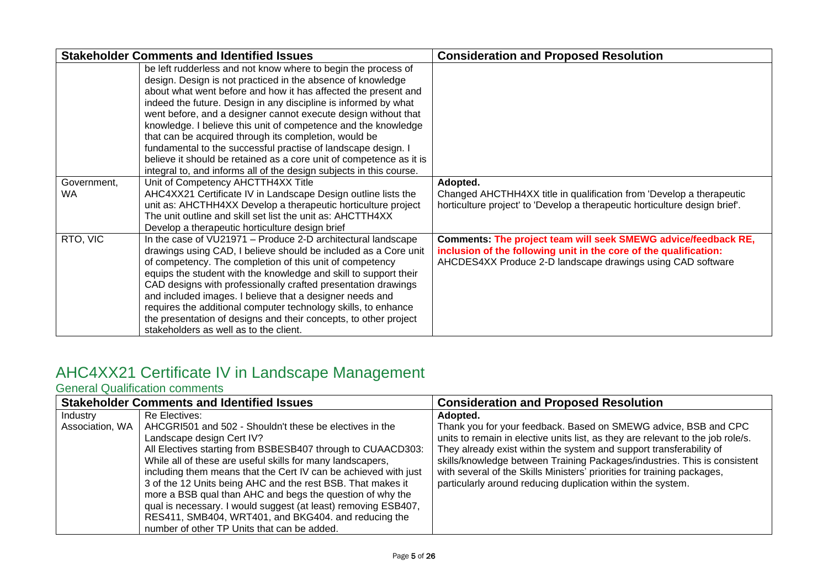|                          | <b>Stakeholder Comments and Identified Issues</b>                                                                                                                                                                                                                                                                                                                                                                                                                                                                                                                                                                                                                             | <b>Consideration and Proposed Resolution</b>                                                                                                                                                       |
|--------------------------|-------------------------------------------------------------------------------------------------------------------------------------------------------------------------------------------------------------------------------------------------------------------------------------------------------------------------------------------------------------------------------------------------------------------------------------------------------------------------------------------------------------------------------------------------------------------------------------------------------------------------------------------------------------------------------|----------------------------------------------------------------------------------------------------------------------------------------------------------------------------------------------------|
|                          | be left rudderless and not know where to begin the process of<br>design. Design is not practiced in the absence of knowledge<br>about what went before and how it has affected the present and<br>indeed the future. Design in any discipline is informed by what<br>went before, and a designer cannot execute design without that<br>knowledge. I believe this unit of competence and the knowledge<br>that can be acquired through its completion, would be<br>fundamental to the successful practise of landscape design. I<br>believe it should be retained as a core unit of competence as it is<br>integral to, and informs all of the design subjects in this course. |                                                                                                                                                                                                    |
| Government,<br><b>WA</b> | Unit of Competency AHCTTH4XX Title<br>AHC4XX21 Certificate IV in Landscape Design outline lists the<br>unit as: AHCTHH4XX Develop a therapeutic horticulture project<br>The unit outline and skill set list the unit as: AHCTTH4XX<br>Develop a therapeutic horticulture design brief                                                                                                                                                                                                                                                                                                                                                                                         | Adopted.<br>Changed AHCTHH4XX title in qualification from 'Develop a therapeutic<br>horticulture project' to 'Develop a therapeutic horticulture design brief'.                                    |
| RTO, VIC                 | In the case of VU21971 - Produce 2-D architectural landscape<br>drawings using CAD, I believe should be included as a Core unit<br>of competency. The completion of this unit of competency<br>equips the student with the knowledge and skill to support their<br>CAD designs with professionally crafted presentation drawings<br>and included images. I believe that a designer needs and<br>requires the additional computer technology skills, to enhance<br>the presentation of designs and their concepts, to other project<br>stakeholders as well as to the client.                                                                                                  | Comments: The project team will seek SMEWG advice/feedback RE,<br>inclusion of the following unit in the core of the qualification:<br>AHCDES4XX Produce 2-D landscape drawings using CAD software |

# <span id="page-4-0"></span>AHC4XX21 Certificate IV in Landscape Management

#### <span id="page-4-1"></span>General Qualification comments

| <b>Stakeholder Comments and Identified Issues</b> |                                                                           | <b>Consideration and Proposed Resolution</b>                                    |  |
|---------------------------------------------------|---------------------------------------------------------------------------|---------------------------------------------------------------------------------|--|
| Industry                                          | Re Electives:                                                             | Adopted.                                                                        |  |
|                                                   | Association, WA   AHCGRI501 and 502 - Shouldn't these be electives in the | Thank you for your feedback. Based on SMEWG advice, BSB and CPC                 |  |
|                                                   | Landscape design Cert IV?                                                 | units to remain in elective units list, as they are relevant to the job role/s. |  |
|                                                   | All Electives starting from BSBESB407 through to CUAACD303:               | They already exist within the system and support transferability of             |  |
|                                                   | While all of these are useful skills for many landscapers,                | skills/knowledge between Training Packages/industries. This is consistent       |  |
|                                                   | including them means that the Cert IV can be achieved with just           | with several of the Skills Ministers' priorities for training packages,         |  |
|                                                   | 3 of the 12 Units being AHC and the rest BSB. That makes it               | particularly around reducing duplication within the system.                     |  |
|                                                   | more a BSB qual than AHC and begs the question of why the                 |                                                                                 |  |
|                                                   | qual is necessary. I would suggest (at least) removing ESB407,            |                                                                                 |  |
|                                                   | RES411, SMB404, WRT401, and BKG404. and reducing the                      |                                                                                 |  |
|                                                   | number of other TP Units that can be added.                               |                                                                                 |  |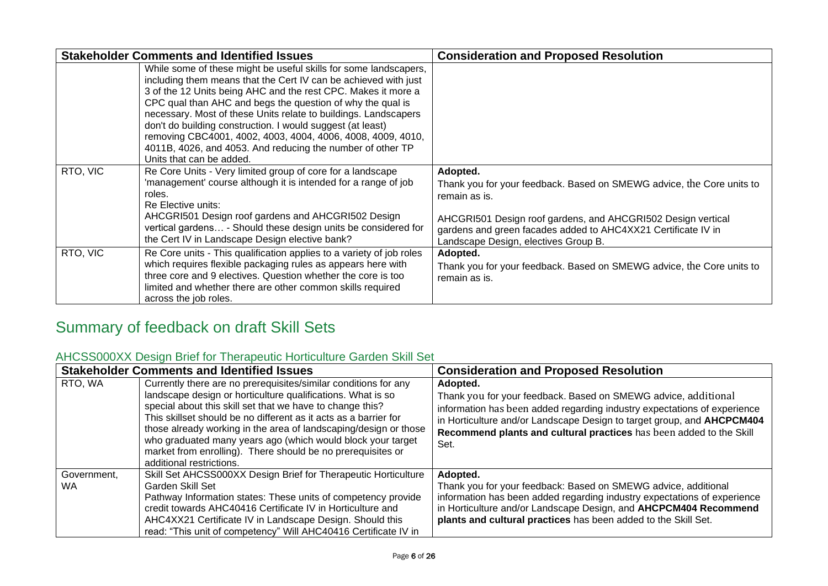|          | <b>Stakeholder Comments and Identified Issues</b>                                                                                                                                                                                                                                                                                                                                                                                                                                                                                                            | <b>Consideration and Proposed Resolution</b>                                                                                                                                                                                                                                |
|----------|--------------------------------------------------------------------------------------------------------------------------------------------------------------------------------------------------------------------------------------------------------------------------------------------------------------------------------------------------------------------------------------------------------------------------------------------------------------------------------------------------------------------------------------------------------------|-----------------------------------------------------------------------------------------------------------------------------------------------------------------------------------------------------------------------------------------------------------------------------|
|          | While some of these might be useful skills for some landscapers,<br>including them means that the Cert IV can be achieved with just<br>3 of the 12 Units being AHC and the rest CPC. Makes it more a<br>CPC qual than AHC and begs the question of why the qual is<br>necessary. Most of these Units relate to buildings. Landscapers<br>don't do building construction. I would suggest (at least)<br>removing CBC4001, 4002, 4003, 4004, 4006, 4008, 4009, 4010,<br>4011B, 4026, and 4053. And reducing the number of other TP<br>Units that can be added. |                                                                                                                                                                                                                                                                             |
| RTO, VIC | Re Core Units - Very limited group of core for a landscape<br>'management' course although it is intended for a range of job<br>roles.<br>Re Elective units:<br>AHCGRI501 Design roof gardens and AHCGRI502 Design<br>vertical gardens - Should these design units be considered for<br>the Cert IV in Landscape Design elective bank?                                                                                                                                                                                                                       | Adopted.<br>Thank you for your feedback. Based on SMEWG advice, the Core units to<br>remain as is.<br>AHCGRI501 Design roof gardens, and AHCGRI502 Design vertical<br>gardens and green facades added to AHC4XX21 Certificate IV in<br>Landscape Design, electives Group B. |
| RTO, VIC | Re Core units - This qualification applies to a variety of job roles<br>which requires flexible packaging rules as appears here with<br>three core and 9 electives. Question whether the core is too<br>limited and whether there are other common skills required<br>across the job roles.                                                                                                                                                                                                                                                                  | Adopted.<br>Thank you for your feedback. Based on SMEWG advice, the Core units to<br>remain as is.                                                                                                                                                                          |

## <span id="page-5-0"></span>Summary of feedback on draft Skill Sets

### <span id="page-5-1"></span>AHCSS000XX Design Brief for Therapeutic Horticulture Garden Skill Set

|                          | <b>Stakeholder Comments and Identified Issues</b>                                                                                                                                                                                                                                                                                                                                                                                                                                             | <b>Consideration and Proposed Resolution</b>                                                                                                                                                                                                                                                                    |
|--------------------------|-----------------------------------------------------------------------------------------------------------------------------------------------------------------------------------------------------------------------------------------------------------------------------------------------------------------------------------------------------------------------------------------------------------------------------------------------------------------------------------------------|-----------------------------------------------------------------------------------------------------------------------------------------------------------------------------------------------------------------------------------------------------------------------------------------------------------------|
| RTO, WA                  | Currently there are no prerequisites/similar conditions for any<br>landscape design or horticulture qualifications. What is so<br>special about this skill set that we have to change this?<br>This skillset should be no different as it acts as a barrier for<br>those already working in the area of landscaping/design or those<br>who graduated many years ago (which would block your target<br>market from enrolling). There should be no prerequisites or<br>additional restrictions. | Adopted.<br>Thank you for your feedback. Based on SMEWG advice, additional<br>information has been added regarding industry expectations of experience<br>in Horticulture and/or Landscape Design to target group, and AHCPCM404<br>Recommend plants and cultural practices has been added to the Skill<br>Set. |
| Government.<br><b>WA</b> | Skill Set AHCSS000XX Design Brief for Therapeutic Horticulture<br>Garden Skill Set<br>Pathway Information states: These units of competency provide<br>credit towards AHC40416 Certificate IV in Horticulture and<br>AHC4XX21 Certificate IV in Landscape Design. Should this<br>read: "This unit of competency" Will AHC40416 Certificate IV in                                                                                                                                              | Adopted.<br>Thank you for your feedback: Based on SMEWG advice, additional<br>information has been added regarding industry expectations of experience<br>in Horticulture and/or Landscape Design, and AHCPCM404 Recommend<br>plants and cultural practices has been added to the Skill Set.                    |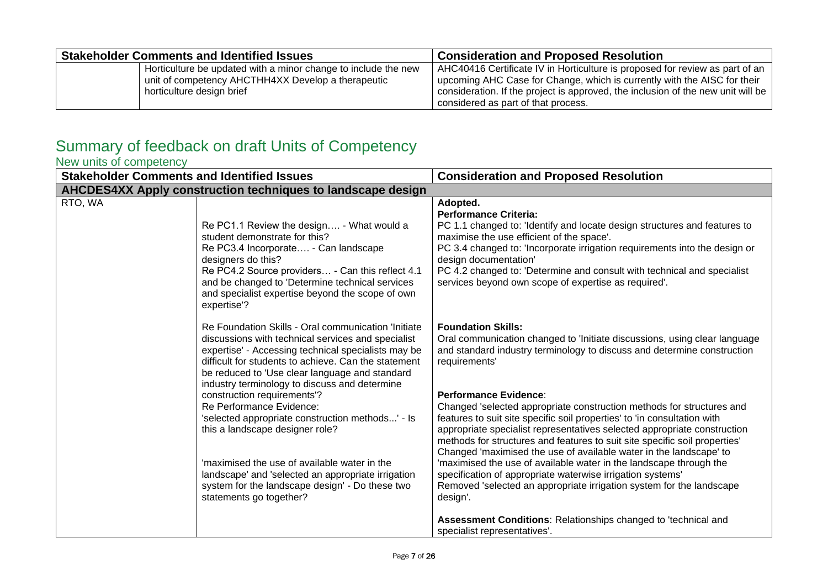| <b>Stakeholder Comments and Identified Issues</b>              | <b>Consideration and Proposed Resolution</b>                                     |
|----------------------------------------------------------------|----------------------------------------------------------------------------------|
| Horticulture be updated with a minor change to include the new | AHC40416 Certificate IV in Horticulture is proposed for review as part of an     |
| unit of competency AHCTHH4XX Develop a therapeutic             | upcoming AHC Case for Change, which is currently with the AISC for their         |
| horticulture design brief                                      | consideration. If the project is approved, the inclusion of the new unit will be |
|                                                                | considered as part of that process.                                              |

### <span id="page-6-0"></span>Summary of feedback on draft Units of Competency

<span id="page-6-1"></span>New units of competency

| <b>Stakeholder Comments and Identified Issues</b> |                                                                                                                                                                                                                                                                                                                                                                                                                                                                                                                                                                                                                                                                   | <b>Consideration and Proposed Resolution</b>                                                                                                                                                                                                                                                                                                                                                                                                                                                                                                                                                                                                                                                                                                                                                                                             |
|---------------------------------------------------|-------------------------------------------------------------------------------------------------------------------------------------------------------------------------------------------------------------------------------------------------------------------------------------------------------------------------------------------------------------------------------------------------------------------------------------------------------------------------------------------------------------------------------------------------------------------------------------------------------------------------------------------------------------------|------------------------------------------------------------------------------------------------------------------------------------------------------------------------------------------------------------------------------------------------------------------------------------------------------------------------------------------------------------------------------------------------------------------------------------------------------------------------------------------------------------------------------------------------------------------------------------------------------------------------------------------------------------------------------------------------------------------------------------------------------------------------------------------------------------------------------------------|
|                                                   | AHCDES4XX Apply construction techniques to landscape design                                                                                                                                                                                                                                                                                                                                                                                                                                                                                                                                                                                                       |                                                                                                                                                                                                                                                                                                                                                                                                                                                                                                                                                                                                                                                                                                                                                                                                                                          |
| RTO, WA                                           | Re PC1.1 Review the design - What would a<br>student demonstrate for this?<br>Re PC3.4 Incorporate - Can landscape<br>designers do this?<br>Re PC4.2 Source providers - Can this reflect 4.1<br>and be changed to 'Determine technical services<br>and specialist expertise beyond the scope of own<br>expertise'?                                                                                                                                                                                                                                                                                                                                                | Adopted.<br><b>Performance Criteria:</b><br>PC 1.1 changed to: 'Identify and locate design structures and features to<br>maximise the use efficient of the space'.<br>PC 3.4 changed to: 'Incorporate irrigation requirements into the design or<br>design documentation'<br>PC 4.2 changed to: 'Determine and consult with technical and specialist<br>services beyond own scope of expertise as required'.                                                                                                                                                                                                                                                                                                                                                                                                                             |
|                                                   | Re Foundation Skills - Oral communication 'Initiate<br>discussions with technical services and specialist<br>expertise' - Accessing technical specialists may be<br>difficult for students to achieve. Can the statement<br>be reduced to 'Use clear language and standard<br>industry terminology to discuss and determine<br>construction requirements'?<br>Re Performance Evidence:<br>'selected appropriate construction methods' - Is<br>this a landscape designer role?<br>'maximised the use of available water in the<br>landscape' and 'selected an appropriate irrigation<br>system for the landscape design' - Do these two<br>statements go together? | <b>Foundation Skills:</b><br>Oral communication changed to 'Initiate discussions, using clear language<br>and standard industry terminology to discuss and determine construction<br>requirements'<br>Performance Evidence:<br>Changed 'selected appropriate construction methods for structures and<br>features to suit site specific soil properties' to 'in consultation with<br>appropriate specialist representatives selected appropriate construction<br>methods for structures and features to suit site specific soil properties'<br>Changed 'maximised the use of available water in the landscape' to<br>'maximised the use of available water in the landscape through the<br>specification of appropriate waterwise irrigation systems'<br>Removed 'selected an appropriate irrigation system for the landscape<br>design'. |
|                                                   |                                                                                                                                                                                                                                                                                                                                                                                                                                                                                                                                                                                                                                                                   | <b>Assessment Conditions: Relationships changed to 'technical and</b><br>specialist representatives'.                                                                                                                                                                                                                                                                                                                                                                                                                                                                                                                                                                                                                                                                                                                                    |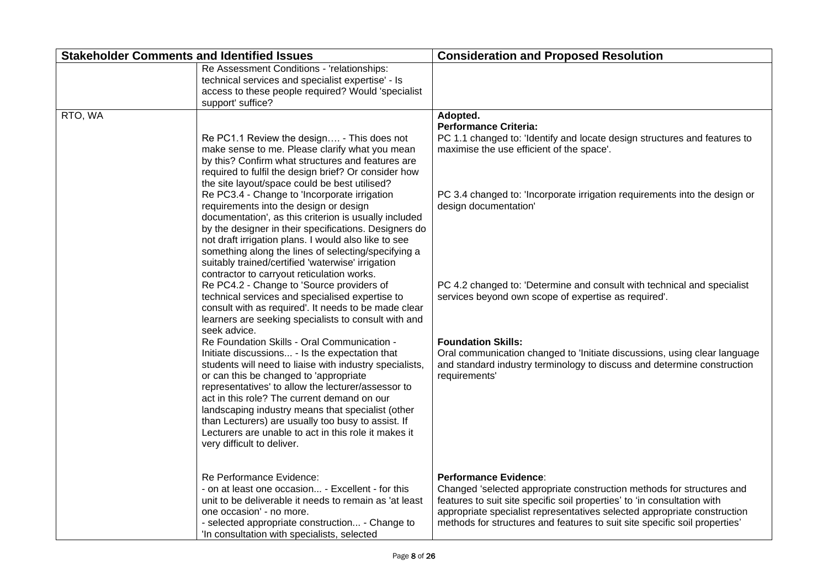| <b>Stakeholder Comments and Identified Issues</b> |                                                                                                                                                                                                                                                                                                                                                                                                                                                                                                                                                                                                                                                                                                                                                                                                                                                                                                                                                                                                                                                                                                                                                                                                                                                                                                                                                                                                                                      | <b>Consideration and Proposed Resolution</b>                                                                                                                                                                                                                                                                                                                                                                                                                                                                                                                                                                       |
|---------------------------------------------------|--------------------------------------------------------------------------------------------------------------------------------------------------------------------------------------------------------------------------------------------------------------------------------------------------------------------------------------------------------------------------------------------------------------------------------------------------------------------------------------------------------------------------------------------------------------------------------------------------------------------------------------------------------------------------------------------------------------------------------------------------------------------------------------------------------------------------------------------------------------------------------------------------------------------------------------------------------------------------------------------------------------------------------------------------------------------------------------------------------------------------------------------------------------------------------------------------------------------------------------------------------------------------------------------------------------------------------------------------------------------------------------------------------------------------------------|--------------------------------------------------------------------------------------------------------------------------------------------------------------------------------------------------------------------------------------------------------------------------------------------------------------------------------------------------------------------------------------------------------------------------------------------------------------------------------------------------------------------------------------------------------------------------------------------------------------------|
|                                                   | Re Assessment Conditions - 'relationships:<br>technical services and specialist expertise' - Is<br>access to these people required? Would 'specialist<br>support' suffice?                                                                                                                                                                                                                                                                                                                                                                                                                                                                                                                                                                                                                                                                                                                                                                                                                                                                                                                                                                                                                                                                                                                                                                                                                                                           |                                                                                                                                                                                                                                                                                                                                                                                                                                                                                                                                                                                                                    |
| RTO, WA                                           | Re PC1.1 Review the design - This does not<br>make sense to me. Please clarify what you mean<br>by this? Confirm what structures and features are<br>required to fulfil the design brief? Or consider how<br>the site layout/space could be best utilised?<br>Re PC3.4 - Change to 'Incorporate irrigation<br>requirements into the design or design<br>documentation', as this criterion is usually included<br>by the designer in their specifications. Designers do<br>not draft irrigation plans. I would also like to see<br>something along the lines of selecting/specifying a<br>suitably trained/certified 'waterwise' irrigation<br>contractor to carryout reticulation works.<br>Re PC4.2 - Change to 'Source providers of<br>technical services and specialised expertise to<br>consult with as required'. It needs to be made clear<br>learners are seeking specialists to consult with and<br>seek advice.<br>Re Foundation Skills - Oral Communication -<br>Initiate discussions - Is the expectation that<br>students will need to liaise with industry specialists,<br>or can this be changed to 'appropriate<br>representatives' to allow the lecturer/assessor to<br>act in this role? The current demand on our<br>landscaping industry means that specialist (other<br>than Lecturers) are usually too busy to assist. If<br>Lecturers are unable to act in this role it makes it<br>very difficult to deliver. | Adopted.<br><b>Performance Criteria:</b><br>PC 1.1 changed to: 'Identify and locate design structures and features to<br>maximise the use efficient of the space'.<br>PC 3.4 changed to: 'Incorporate irrigation requirements into the design or<br>design documentation'<br>PC 4.2 changed to: 'Determine and consult with technical and specialist<br>services beyond own scope of expertise as required'.<br><b>Foundation Skills:</b><br>Oral communication changed to 'Initiate discussions, using clear language<br>and standard industry terminology to discuss and determine construction<br>requirements' |
|                                                   | Re Performance Evidence:<br>- on at least one occasion - Excellent - for this<br>unit to be deliverable it needs to remain as 'at least<br>one occasion' - no more.<br>- selected appropriate construction - Change to<br>'In consultation with specialists, selected                                                                                                                                                                                                                                                                                                                                                                                                                                                                                                                                                                                                                                                                                                                                                                                                                                                                                                                                                                                                                                                                                                                                                                | <b>Performance Evidence:</b><br>Changed 'selected appropriate construction methods for structures and<br>features to suit site specific soil properties' to 'in consultation with<br>appropriate specialist representatives selected appropriate construction<br>methods for structures and features to suit site specific soil properties'                                                                                                                                                                                                                                                                        |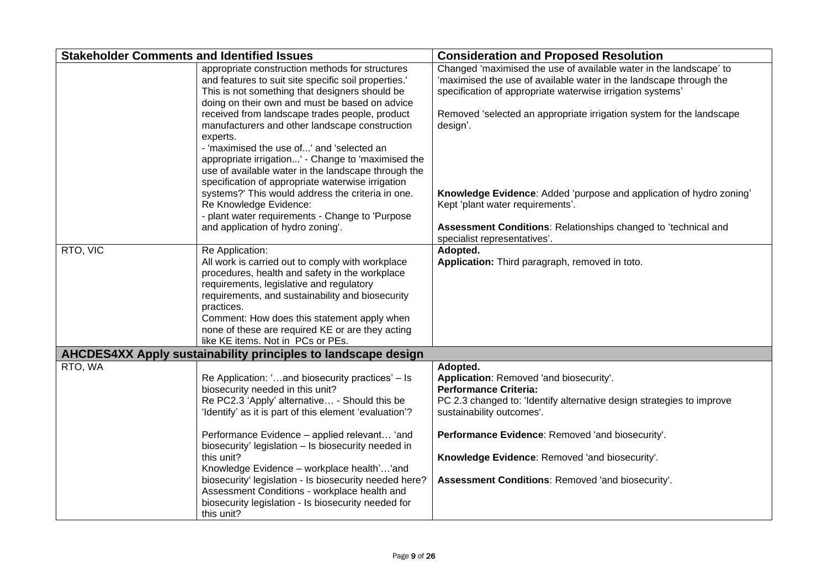| <b>Stakeholder Comments and Identified Issues</b> |                                                                                                                                                                                                                                                                                                                                                                             | <b>Consideration and Proposed Resolution</b>                                                                                                                                                           |
|---------------------------------------------------|-----------------------------------------------------------------------------------------------------------------------------------------------------------------------------------------------------------------------------------------------------------------------------------------------------------------------------------------------------------------------------|--------------------------------------------------------------------------------------------------------------------------------------------------------------------------------------------------------|
|                                                   | appropriate construction methods for structures<br>and features to suit site specific soil properties.'<br>This is not something that designers should be<br>doing on their own and must be based on advice                                                                                                                                                                 | Changed 'maximised the use of available water in the landscape' to<br>'maximised the use of available water in the landscape through the<br>specification of appropriate waterwise irrigation systems' |
|                                                   | received from landscape trades people, product<br>manufacturers and other landscape construction<br>experts.<br>- 'maximised the use of' and 'selected an<br>appropriate irrigation' - Change to 'maximised the<br>use of available water in the landscape through the<br>specification of appropriate waterwise irrigation                                                 | Removed 'selected an appropriate irrigation system for the landscape<br>design'.                                                                                                                       |
|                                                   | systems?' This would address the criteria in one.<br>Re Knowledge Evidence:<br>- plant water requirements - Change to 'Purpose                                                                                                                                                                                                                                              | Knowledge Evidence: Added 'purpose and application of hydro zoning'<br>Kept 'plant water requirements'.                                                                                                |
|                                                   | and application of hydro zoning'.                                                                                                                                                                                                                                                                                                                                           | Assessment Conditions: Relationships changed to 'technical and<br>specialist representatives'.                                                                                                         |
| RTO, VIC                                          | Re Application:<br>All work is carried out to comply with workplace<br>procedures, health and safety in the workplace<br>requirements, legislative and regulatory<br>requirements, and sustainability and biosecurity<br>practices.<br>Comment: How does this statement apply when<br>none of these are required KE or are they acting<br>like KE items. Not in PCs or PEs. | Adopted.<br>Application: Third paragraph, removed in toto.                                                                                                                                             |
|                                                   | AHCDES4XX Apply sustainability principles to landscape design                                                                                                                                                                                                                                                                                                               |                                                                                                                                                                                                        |
| RTO, WA                                           | Re Application: 'and biosecurity practices' – Is<br>biosecurity needed in this unit?<br>Re PC2.3 'Apply' alternative - Should this be<br>'Identify' as it is part of this element 'evaluation'?                                                                                                                                                                             | Adopted.<br>Application: Removed 'and biosecurity'.<br><b>Performance Criteria:</b><br>PC 2.3 changed to: 'Identify alternative design strategies to improve<br>sustainability outcomes'.              |
|                                                   | Performance Evidence - applied relevant 'and<br>biosecurity' legislation - Is biosecurity needed in                                                                                                                                                                                                                                                                         | Performance Evidence: Removed 'and biosecurity'.                                                                                                                                                       |
|                                                   | this unit?<br>Knowledge Evidence - workplace health''and                                                                                                                                                                                                                                                                                                                    | Knowledge Evidence: Removed 'and biosecurity'.                                                                                                                                                         |
|                                                   | biosecurity' legislation - Is biosecurity needed here?<br>Assessment Conditions - workplace health and<br>biosecurity legislation - Is biosecurity needed for<br>this unit?                                                                                                                                                                                                 | Assessment Conditions: Removed 'and biosecurity'.                                                                                                                                                      |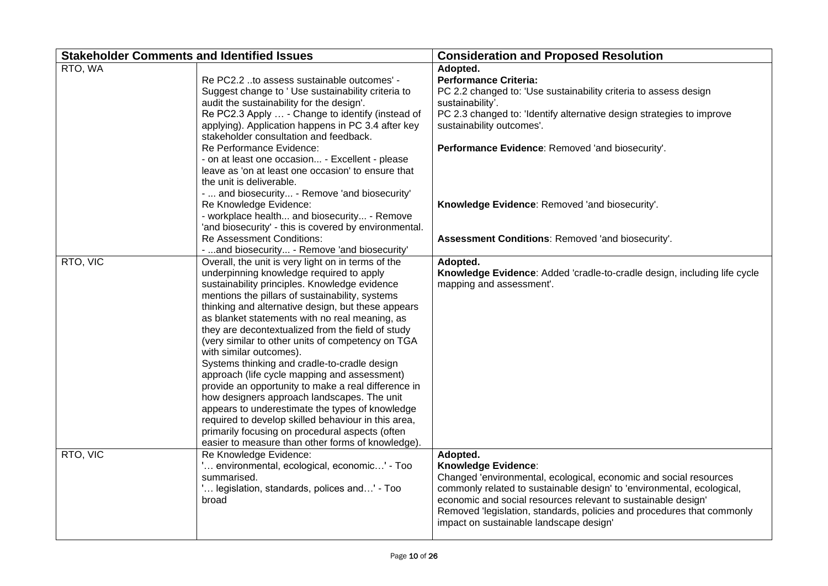| <b>Stakeholder Comments and Identified Issues</b>              |                                                       | <b>Consideration and Proposed Resolution</b>                             |
|----------------------------------------------------------------|-------------------------------------------------------|--------------------------------------------------------------------------|
| RTO, WA                                                        |                                                       | Adopted.                                                                 |
| Re PC2.2 to assess sustainable outcomes' -                     |                                                       | <b>Performance Criteria:</b>                                             |
| Suggest change to 'Use sustainability criteria to              |                                                       | PC 2.2 changed to: 'Use sustainability criteria to assess design         |
| audit the sustainability for the design'.                      |                                                       | sustainability'.                                                         |
| Re PC2.3 Apply  - Change to identify (instead of               |                                                       | PC 2.3 changed to: 'Identify alternative design strategies to improve    |
| applying). Application happens in PC 3.4 after key             |                                                       | sustainability outcomes'.                                                |
| stakeholder consultation and feedback.                         |                                                       |                                                                          |
| Re Performance Evidence:                                       |                                                       | Performance Evidence: Removed 'and biosecurity'.                         |
| - on at least one occasion - Excellent - please                |                                                       |                                                                          |
| leave as 'on at least one occasion' to ensure that             |                                                       |                                                                          |
| the unit is deliverable.                                       |                                                       |                                                                          |
| -  and biosecurity - Remove 'and biosecurity'                  |                                                       |                                                                          |
| Re Knowledge Evidence:                                         |                                                       | Knowledge Evidence: Removed 'and biosecurity'.                           |
| - workplace health and biosecurity - Remove                    |                                                       |                                                                          |
|                                                                | 'and biosecurity' - this is covered by environmental. |                                                                          |
| Re Assessment Conditions:                                      |                                                       | Assessment Conditions: Removed 'and biosecurity'.                        |
| -  and biosecurity - Remove 'and biosecurity'                  |                                                       |                                                                          |
| RTO, VIC<br>Overall, the unit is very light on in terms of the |                                                       | Adopted.                                                                 |
| underpinning knowledge required to apply                       |                                                       | Knowledge Evidence: Added 'cradle-to-cradle design, including life cycle |
| sustainability principles. Knowledge evidence                  |                                                       | mapping and assessment'.                                                 |
| mentions the pillars of sustainability, systems                |                                                       |                                                                          |
| thinking and alternative design, but these appears             |                                                       |                                                                          |
| as blanket statements with no real meaning, as                 |                                                       |                                                                          |
| they are decontextualized from the field of study              |                                                       |                                                                          |
| (very similar to other units of competency on TGA              |                                                       |                                                                          |
| with similar outcomes).                                        |                                                       |                                                                          |
| Systems thinking and cradle-to-cradle design                   |                                                       |                                                                          |
| approach (life cycle mapping and assessment)                   |                                                       |                                                                          |
| provide an opportunity to make a real difference in            |                                                       |                                                                          |
| how designers approach landscapes. The unit                    |                                                       |                                                                          |
| appears to underestimate the types of knowledge                |                                                       |                                                                          |
| required to develop skilled behaviour in this area,            |                                                       |                                                                          |
| primarily focusing on procedural aspects (often                |                                                       |                                                                          |
| easier to measure than other forms of knowledge).              |                                                       |                                                                          |
| RTO, VIC<br>Re Knowledge Evidence:                             |                                                       | Adopted.                                                                 |
| ' environmental, ecological, economic' - Too                   |                                                       | <b>Knowledge Evidence:</b>                                               |
| summarised.                                                    |                                                       | Changed 'environmental, ecological, economic and social resources        |
| ' legislation, standards, polices and' - Too                   |                                                       | commonly related to sustainable design' to 'environmental, ecological,   |
| broad                                                          |                                                       | economic and social resources relevant to sustainable design'            |
|                                                                |                                                       | Removed 'legislation, standards, policies and procedures that commonly   |
|                                                                |                                                       | impact on sustainable landscape design'                                  |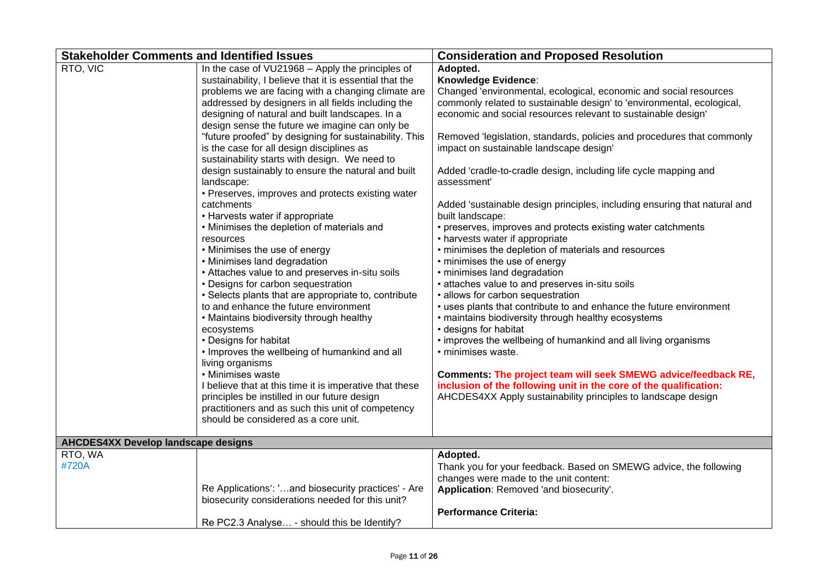| <b>Stakeholder Comments and Identified Issues</b> |                                                                                                                                                                                                                                                                                                                                                                                                                                                                                                                                                                                                                                                                                                                                                                                                                                                                                                                                                                                                                                                                                                                                                                                                                                                                                                                                                                           | <b>Consideration and Proposed Resolution</b>                                                                                                                                                                                                                                                                                                                                                                                                                                                                                                                                                                                                                                                                                                                                                                                                                                                                                                                                                                                                                                                                                                                                                                                                                                                                                        |
|---------------------------------------------------|---------------------------------------------------------------------------------------------------------------------------------------------------------------------------------------------------------------------------------------------------------------------------------------------------------------------------------------------------------------------------------------------------------------------------------------------------------------------------------------------------------------------------------------------------------------------------------------------------------------------------------------------------------------------------------------------------------------------------------------------------------------------------------------------------------------------------------------------------------------------------------------------------------------------------------------------------------------------------------------------------------------------------------------------------------------------------------------------------------------------------------------------------------------------------------------------------------------------------------------------------------------------------------------------------------------------------------------------------------------------------|-------------------------------------------------------------------------------------------------------------------------------------------------------------------------------------------------------------------------------------------------------------------------------------------------------------------------------------------------------------------------------------------------------------------------------------------------------------------------------------------------------------------------------------------------------------------------------------------------------------------------------------------------------------------------------------------------------------------------------------------------------------------------------------------------------------------------------------------------------------------------------------------------------------------------------------------------------------------------------------------------------------------------------------------------------------------------------------------------------------------------------------------------------------------------------------------------------------------------------------------------------------------------------------------------------------------------------------|
| RTO, VIC                                          | In the case of VU21968 - Apply the principles of<br>sustainability, I believe that it is essential that the<br>problems we are facing with a changing climate are<br>addressed by designers in all fields including the<br>designing of natural and built landscapes. In a<br>design sense the future we imagine can only be<br>"future proofed" by designing for sustainability. This<br>is the case for all design disciplines as<br>sustainability starts with design. We need to<br>design sustainably to ensure the natural and built<br>landscape:<br>• Preserves, improves and protects existing water<br>catchments<br>• Harvests water if appropriate<br>• Minimises the depletion of materials and<br>resources<br>• Minimises the use of energy<br>• Minimises land degradation<br>• Attaches value to and preserves in-situ soils<br>• Designs for carbon sequestration<br>• Selects plants that are appropriate to, contribute<br>to and enhance the future environment<br>• Maintains biodiversity through healthy<br>ecosystems<br>• Designs for habitat<br>• Improves the wellbeing of humankind and all<br>living organisms<br>• Minimises waste<br>I believe that at this time it is imperative that these<br>principles be instilled in our future design<br>practitioners and as such this unit of competency<br>should be considered as a core unit. | Adopted.<br>Knowledge Evidence:<br>Changed 'environmental, ecological, economic and social resources<br>commonly related to sustainable design' to 'environmental, ecological,<br>economic and social resources relevant to sustainable design'<br>Removed 'legislation, standards, policies and procedures that commonly<br>impact on sustainable landscape design'<br>Added 'cradle-to-cradle design, including life cycle mapping and<br>assessment'<br>Added 'sustainable design principles, including ensuring that natural and<br>built landscape:<br>• preserves, improves and protects existing water catchments<br>• harvests water if appropriate<br>• minimises the depletion of materials and resources<br>• minimises the use of energy<br>· minimises land degradation<br>• attaches value to and preserves in-situ soils<br>• allows for carbon sequestration<br>• uses plants that contribute to and enhance the future environment<br>• maintains biodiversity through healthy ecosystems<br>• designs for habitat<br>• improves the wellbeing of humankind and all living organisms<br>• minimises waste.<br>Comments: The project team will seek SMEWG advice/feedback RE,<br>inclusion of the following unit in the core of the qualification:<br>AHCDES4XX Apply sustainability principles to landscape design |
| <b>AHCDES4XX Develop landscape designs</b>        |                                                                                                                                                                                                                                                                                                                                                                                                                                                                                                                                                                                                                                                                                                                                                                                                                                                                                                                                                                                                                                                                                                                                                                                                                                                                                                                                                                           |                                                                                                                                                                                                                                                                                                                                                                                                                                                                                                                                                                                                                                                                                                                                                                                                                                                                                                                                                                                                                                                                                                                                                                                                                                                                                                                                     |
| RTO, WA<br>#720A                                  | Re Applications': 'and biosecurity practices' - Are<br>biosecurity considerations needed for this unit?<br>Re PC2.3 Analyse - should this be Identify?                                                                                                                                                                                                                                                                                                                                                                                                                                                                                                                                                                                                                                                                                                                                                                                                                                                                                                                                                                                                                                                                                                                                                                                                                    | Adopted.<br>Thank you for your feedback. Based on SMEWG advice, the following<br>changes were made to the unit content:<br>Application: Removed 'and biosecurity'.<br><b>Performance Criteria:</b>                                                                                                                                                                                                                                                                                                                                                                                                                                                                                                                                                                                                                                                                                                                                                                                                                                                                                                                                                                                                                                                                                                                                  |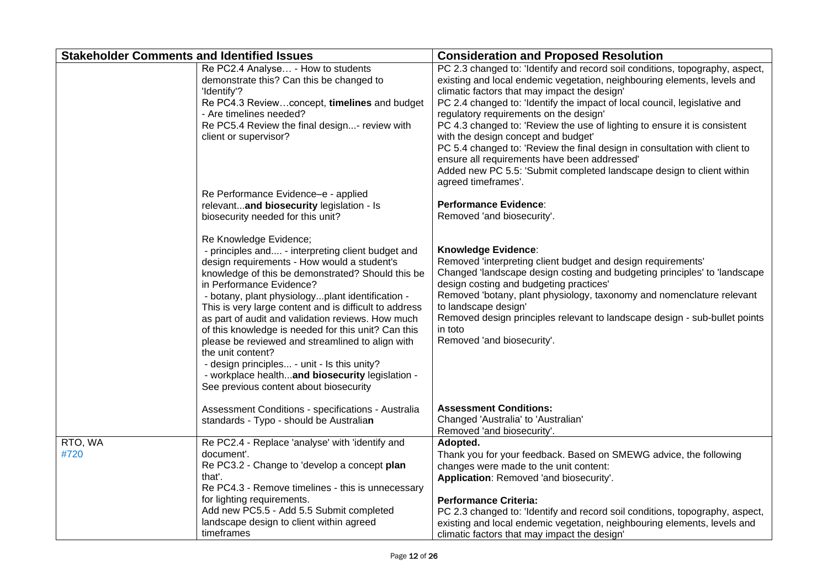| <b>Stakeholder Comments and Identified Issues</b> |                                                                                                                                                                                                                                                                                                                                                                                                                                                                                                                                                                                                                                                            | <b>Consideration and Proposed Resolution</b>                                                                                                                                                                                                                                                                                                                                                                                                                                                                                                                                                                                                                                      |
|---------------------------------------------------|------------------------------------------------------------------------------------------------------------------------------------------------------------------------------------------------------------------------------------------------------------------------------------------------------------------------------------------------------------------------------------------------------------------------------------------------------------------------------------------------------------------------------------------------------------------------------------------------------------------------------------------------------------|-----------------------------------------------------------------------------------------------------------------------------------------------------------------------------------------------------------------------------------------------------------------------------------------------------------------------------------------------------------------------------------------------------------------------------------------------------------------------------------------------------------------------------------------------------------------------------------------------------------------------------------------------------------------------------------|
|                                                   | Re PC2.4 Analyse - How to students<br>demonstrate this? Can this be changed to<br>'Identify'?<br>Re PC4.3 Reviewconcept, timelines and budget<br>- Are timelines needed?<br>Re PC5.4 Review the final design- review with<br>client or supervisor?                                                                                                                                                                                                                                                                                                                                                                                                         | PC 2.3 changed to: 'Identify and record soil conditions, topography, aspect,<br>existing and local endemic vegetation, neighbouring elements, levels and<br>climatic factors that may impact the design'<br>PC 2.4 changed to: 'Identify the impact of local council, legislative and<br>regulatory requirements on the design'<br>PC 4.3 changed to: 'Review the use of lighting to ensure it is consistent<br>with the design concept and budget'<br>PC 5.4 changed to: 'Review the final design in consultation with client to<br>ensure all requirements have been addressed'<br>Added new PC 5.5: 'Submit completed landscape design to client within<br>agreed timeframes'. |
|                                                   | Re Performance Evidence-e - applied<br>relevantand biosecurity legislation - Is<br>biosecurity needed for this unit?                                                                                                                                                                                                                                                                                                                                                                                                                                                                                                                                       | <b>Performance Evidence:</b><br>Removed 'and biosecurity'.                                                                                                                                                                                                                                                                                                                                                                                                                                                                                                                                                                                                                        |
|                                                   | Re Knowledge Evidence;<br>- principles and - interpreting client budget and<br>design requirements - How would a student's<br>knowledge of this be demonstrated? Should this be<br>in Performance Evidence?<br>- botany, plant physiologyplant identification -<br>This is very large content and is difficult to address<br>as part of audit and validation reviews. How much<br>of this knowledge is needed for this unit? Can this<br>please be reviewed and streamlined to align with<br>the unit content?<br>- design principles - unit - Is this unity?<br>- workplace healthand biosecurity legislation -<br>See previous content about biosecurity | <b>Knowledge Evidence:</b><br>Removed 'interpreting client budget and design requirements'<br>Changed 'landscape design costing and budgeting principles' to 'landscape<br>design costing and budgeting practices'<br>Removed 'botany, plant physiology, taxonomy and nomenclature relevant<br>to landscape design'<br>Removed design principles relevant to landscape design - sub-bullet points<br>in toto<br>Removed 'and biosecurity'.                                                                                                                                                                                                                                        |
|                                                   | Assessment Conditions - specifications - Australia<br>standards - Typo - should be Australian                                                                                                                                                                                                                                                                                                                                                                                                                                                                                                                                                              | <b>Assessment Conditions:</b><br>Changed 'Australia' to 'Australian'<br>Removed 'and biosecurity'.                                                                                                                                                                                                                                                                                                                                                                                                                                                                                                                                                                                |
| RTO, WA<br>#720                                   | Re PC2.4 - Replace 'analyse' with 'identify and<br>document'.<br>Re PC3.2 - Change to 'develop a concept plan<br>that'.<br>Re PC4.3 - Remove timelines - this is unnecessary<br>for lighting requirements.<br>Add new PC5.5 - Add 5.5 Submit completed<br>landscape design to client within agreed<br>timeframes                                                                                                                                                                                                                                                                                                                                           | Adopted.<br>Thank you for your feedback. Based on SMEWG advice, the following<br>changes were made to the unit content:<br>Application: Removed 'and biosecurity'.<br><b>Performance Criteria:</b><br>PC 2.3 changed to: 'Identify and record soil conditions, topography, aspect,<br>existing and local endemic vegetation, neighbouring elements, levels and<br>climatic factors that may impact the design'                                                                                                                                                                                                                                                                    |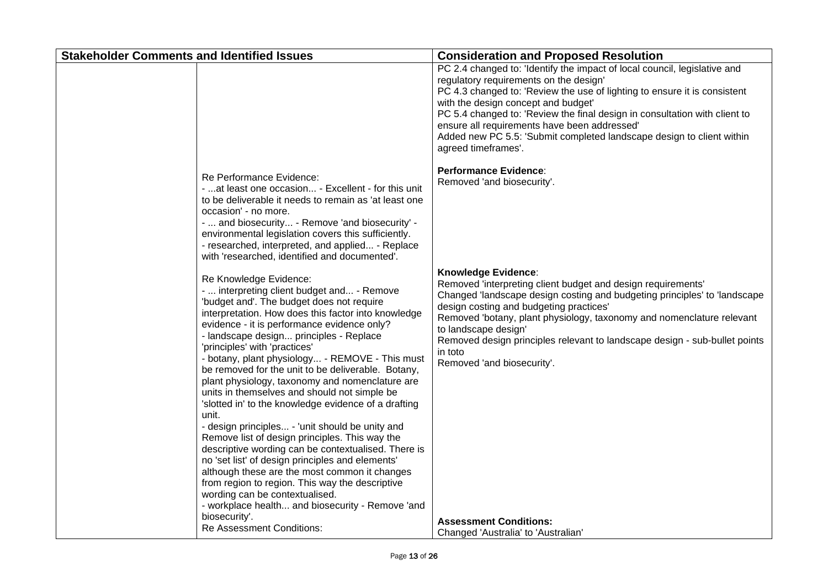| <b>Stakeholder Comments and Identified Issues</b>                                                                                                                                                                                                                                                                                                                                                                                                                                                                                                                                                                                                                                                                                                                                                                                                                                                                                                                                                           | <b>Consideration and Proposed Resolution</b>                                                                                                                                                                                                                                                                                                                                                                                                                          |
|-------------------------------------------------------------------------------------------------------------------------------------------------------------------------------------------------------------------------------------------------------------------------------------------------------------------------------------------------------------------------------------------------------------------------------------------------------------------------------------------------------------------------------------------------------------------------------------------------------------------------------------------------------------------------------------------------------------------------------------------------------------------------------------------------------------------------------------------------------------------------------------------------------------------------------------------------------------------------------------------------------------|-----------------------------------------------------------------------------------------------------------------------------------------------------------------------------------------------------------------------------------------------------------------------------------------------------------------------------------------------------------------------------------------------------------------------------------------------------------------------|
|                                                                                                                                                                                                                                                                                                                                                                                                                                                                                                                                                                                                                                                                                                                                                                                                                                                                                                                                                                                                             | PC 2.4 changed to: 'Identify the impact of local council, legislative and<br>regulatory requirements on the design'<br>PC 4.3 changed to: 'Review the use of lighting to ensure it is consistent<br>with the design concept and budget'<br>PC 5.4 changed to: 'Review the final design in consultation with client to<br>ensure all requirements have been addressed'<br>Added new PC 5.5: 'Submit completed landscape design to client within<br>agreed timeframes'. |
| Re Performance Evidence:<br>-  at least one occasion - Excellent - for this unit<br>to be deliverable it needs to remain as 'at least one<br>occasion' - no more.<br>-  and biosecurity - Remove 'and biosecurity' -<br>environmental legislation covers this sufficiently.<br>- researched, interpreted, and applied - Replace<br>with 'researched, identified and documented'.                                                                                                                                                                                                                                                                                                                                                                                                                                                                                                                                                                                                                            | <b>Performance Evidence:</b><br>Removed 'and biosecurity'.                                                                                                                                                                                                                                                                                                                                                                                                            |
| Re Knowledge Evidence:<br>-  interpreting client budget and - Remove<br>'budget and'. The budget does not require<br>interpretation. How does this factor into knowledge<br>evidence - it is performance evidence only?<br>- landscape design principles - Replace<br>'principles' with 'practices'<br>- botany, plant physiology - REMOVE - This must<br>be removed for the unit to be deliverable. Botany,<br>plant physiology, taxonomy and nomenclature are<br>units in themselves and should not simple be<br>'slotted in' to the knowledge evidence of a drafting<br>unit.<br>- design principles - 'unit should be unity and<br>Remove list of design principles. This way the<br>descriptive wording can be contextualised. There is<br>no 'set list' of design principles and elements'<br>although these are the most common it changes<br>from region to region. This way the descriptive<br>wording can be contextualised.<br>- workplace health and biosecurity - Remove 'and<br>biosecurity'. | <b>Knowledge Evidence:</b><br>Removed 'interpreting client budget and design requirements'<br>Changed 'landscape design costing and budgeting principles' to 'landscape<br>design costing and budgeting practices'<br>Removed 'botany, plant physiology, taxonomy and nomenclature relevant<br>to landscape design'<br>Removed design principles relevant to landscape design - sub-bullet points<br>in toto<br>Removed 'and biosecurity'.                            |
| <b>Re Assessment Conditions:</b>                                                                                                                                                                                                                                                                                                                                                                                                                                                                                                                                                                                                                                                                                                                                                                                                                                                                                                                                                                            | <b>Assessment Conditions:</b><br>Changed 'Australia' to 'Australian'                                                                                                                                                                                                                                                                                                                                                                                                  |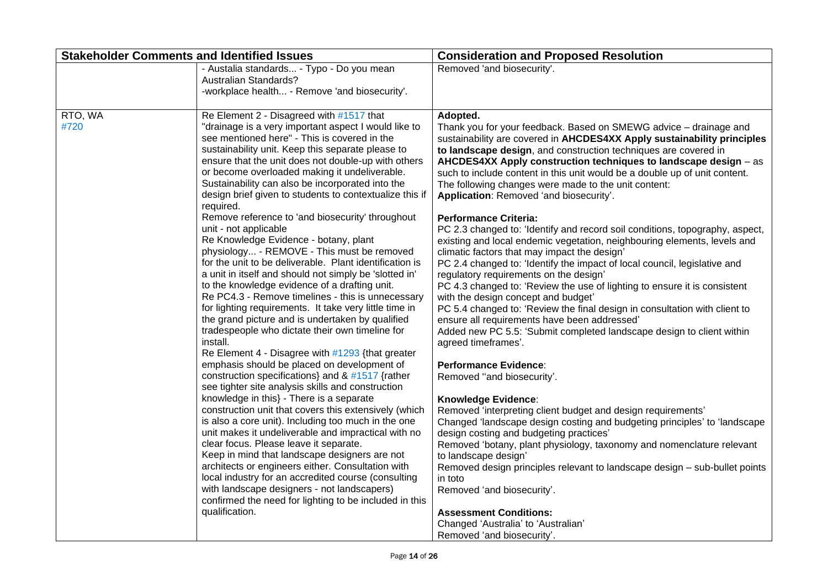| <b>Stakeholder Comments and Identified Issues</b> |                                                                                                                                                                                                                                                                                                                                                                                                                                                                                                                                                                                                                                                                                                                                                                                                                                                                                                                                                                                                                                                                                                                                                                                                                                                                                                                                                                                                                                                                                                                                                                                                                                                                                                                                                                                        | <b>Consideration and Proposed Resolution</b>                                                                                                                                                                                                                                                                                                                                                                                                                                                                                                                                                                                                                                                                                                                                                                                                                                                                                                                                                                                                                                                                                                                                                                                                                                                                                                                                                                                                                                                                                                                                                                                                                                                                                                                                                                     |
|---------------------------------------------------|----------------------------------------------------------------------------------------------------------------------------------------------------------------------------------------------------------------------------------------------------------------------------------------------------------------------------------------------------------------------------------------------------------------------------------------------------------------------------------------------------------------------------------------------------------------------------------------------------------------------------------------------------------------------------------------------------------------------------------------------------------------------------------------------------------------------------------------------------------------------------------------------------------------------------------------------------------------------------------------------------------------------------------------------------------------------------------------------------------------------------------------------------------------------------------------------------------------------------------------------------------------------------------------------------------------------------------------------------------------------------------------------------------------------------------------------------------------------------------------------------------------------------------------------------------------------------------------------------------------------------------------------------------------------------------------------------------------------------------------------------------------------------------------|------------------------------------------------------------------------------------------------------------------------------------------------------------------------------------------------------------------------------------------------------------------------------------------------------------------------------------------------------------------------------------------------------------------------------------------------------------------------------------------------------------------------------------------------------------------------------------------------------------------------------------------------------------------------------------------------------------------------------------------------------------------------------------------------------------------------------------------------------------------------------------------------------------------------------------------------------------------------------------------------------------------------------------------------------------------------------------------------------------------------------------------------------------------------------------------------------------------------------------------------------------------------------------------------------------------------------------------------------------------------------------------------------------------------------------------------------------------------------------------------------------------------------------------------------------------------------------------------------------------------------------------------------------------------------------------------------------------------------------------------------------------------------------------------------------------|
|                                                   | - Austalia standards - Typo - Do you mean<br>Australian Standards?<br>-workplace health - Remove 'and biosecurity'.                                                                                                                                                                                                                                                                                                                                                                                                                                                                                                                                                                                                                                                                                                                                                                                                                                                                                                                                                                                                                                                                                                                                                                                                                                                                                                                                                                                                                                                                                                                                                                                                                                                                    | Removed 'and biosecurity'.                                                                                                                                                                                                                                                                                                                                                                                                                                                                                                                                                                                                                                                                                                                                                                                                                                                                                                                                                                                                                                                                                                                                                                                                                                                                                                                                                                                                                                                                                                                                                                                                                                                                                                                                                                                       |
| RTO, WA<br>#720                                   | Re Element 2 - Disagreed with #1517 that<br>"drainage is a very important aspect I would like to<br>see mentioned here" - This is covered in the<br>sustainability unit. Keep this separate please to<br>ensure that the unit does not double-up with others<br>or become overloaded making it undeliverable.<br>Sustainability can also be incorporated into the<br>design brief given to students to contextualize this if<br>required.<br>Remove reference to 'and biosecurity' throughout<br>unit - not applicable<br>Re Knowledge Evidence - botany, plant<br>physiology - REMOVE - This must be removed<br>for the unit to be deliverable. Plant identification is<br>a unit in itself and should not simply be 'slotted in'<br>to the knowledge evidence of a drafting unit.<br>Re PC4.3 - Remove timelines - this is unnecessary<br>for lighting requirements. It take very little time in<br>the grand picture and is undertaken by qualified<br>tradespeople who dictate their own timeline for<br>install.<br>Re Element 4 - Disagree with #1293 {that greater<br>emphasis should be placed on development of<br>construction specifications} and & #1517 {rather<br>see tighter site analysis skills and construction<br>knowledge in this} - There is a separate<br>construction unit that covers this extensively (which<br>is also a core unit). Including too much in the one<br>unit makes it undeliverable and impractical with no<br>clear focus. Please leave it separate.<br>Keep in mind that landscape designers are not<br>architects or engineers either. Consultation with<br>local industry for an accredited course (consulting<br>with landscape designers - not landscapers)<br>confirmed the need for lighting to be included in this<br>qualification. | Adopted.<br>Thank you for your feedback. Based on SMEWG advice - drainage and<br>sustainability are covered in AHCDES4XX Apply sustainability principles<br>to landscape design, and construction techniques are covered in<br>AHCDES4XX Apply construction techniques to landscape design - as<br>such to include content in this unit would be a double up of unit content.<br>The following changes were made to the unit content:<br>Application: Removed 'and biosecurity'.<br><b>Performance Criteria:</b><br>PC 2.3 changed to: 'Identify and record soil conditions, topography, aspect,<br>existing and local endemic vegetation, neighbouring elements, levels and<br>climatic factors that may impact the design'<br>PC 2.4 changed to: 'Identify the impact of local council, legislative and<br>regulatory requirements on the design'<br>PC 4.3 changed to: 'Review the use of lighting to ensure it is consistent<br>with the design concept and budget'<br>PC 5.4 changed to: 'Review the final design in consultation with client to<br>ensure all requirements have been addressed'<br>Added new PC 5.5: 'Submit completed landscape design to client within<br>agreed timeframes'.<br><b>Performance Evidence:</b><br>Removed "and biosecurity".<br>Knowledge Evidence:<br>Removed 'interpreting client budget and design requirements'<br>Changed 'landscape design costing and budgeting principles' to 'landscape<br>design costing and budgeting practices'<br>Removed 'botany, plant physiology, taxonomy and nomenclature relevant<br>to landscape design'<br>Removed design principles relevant to landscape design - sub-bullet points<br>in toto<br>Removed 'and biosecurity'.<br><b>Assessment Conditions:</b><br>Changed 'Australia' to 'Australian'<br>Removed 'and biosecurity'. |
|                                                   |                                                                                                                                                                                                                                                                                                                                                                                                                                                                                                                                                                                                                                                                                                                                                                                                                                                                                                                                                                                                                                                                                                                                                                                                                                                                                                                                                                                                                                                                                                                                                                                                                                                                                                                                                                                        |                                                                                                                                                                                                                                                                                                                                                                                                                                                                                                                                                                                                                                                                                                                                                                                                                                                                                                                                                                                                                                                                                                                                                                                                                                                                                                                                                                                                                                                                                                                                                                                                                                                                                                                                                                                                                  |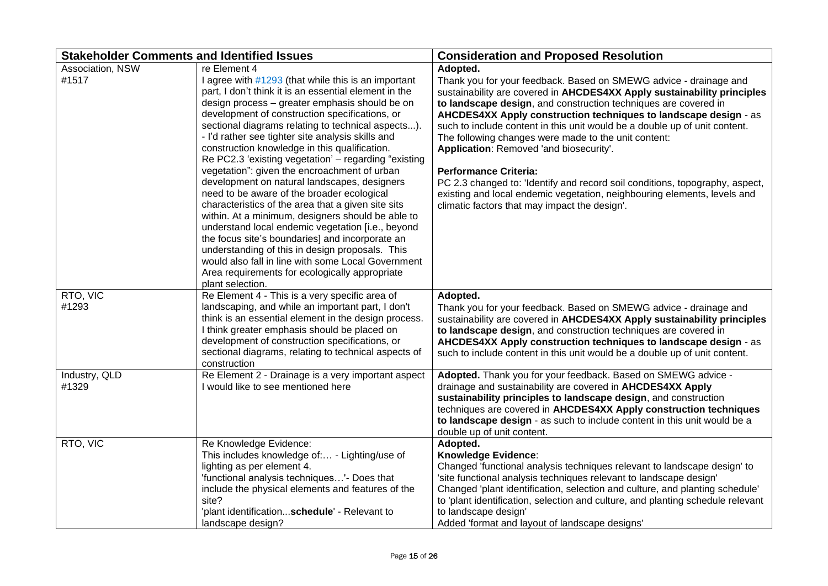| <b>Stakeholder Comments and Identified Issues</b> |                                                                                                                                                                                                                                                                                                                                                                                                                                                                                                                                                                                                                                                                                                                                                                                                                                                                                                                                                                                                      | <b>Consideration and Proposed Resolution</b>                                                                                                                                                                                                                                                                                                                                                                                                                                                                                                                                                                                                                                                                                  |
|---------------------------------------------------|------------------------------------------------------------------------------------------------------------------------------------------------------------------------------------------------------------------------------------------------------------------------------------------------------------------------------------------------------------------------------------------------------------------------------------------------------------------------------------------------------------------------------------------------------------------------------------------------------------------------------------------------------------------------------------------------------------------------------------------------------------------------------------------------------------------------------------------------------------------------------------------------------------------------------------------------------------------------------------------------------|-------------------------------------------------------------------------------------------------------------------------------------------------------------------------------------------------------------------------------------------------------------------------------------------------------------------------------------------------------------------------------------------------------------------------------------------------------------------------------------------------------------------------------------------------------------------------------------------------------------------------------------------------------------------------------------------------------------------------------|
| Association, NSW<br>#1517                         | re Element 4<br>I agree with #1293 (that while this is an important<br>part, I don't think it is an essential element in the<br>design process - greater emphasis should be on<br>development of construction specifications, or<br>sectional diagrams relating to technical aspects).<br>- I'd rather see tighter site analysis skills and<br>construction knowledge in this qualification.<br>Re PC2.3 'existing vegetation' - regarding "existing<br>vegetation": given the encroachment of urban<br>development on natural landscapes, designers<br>need to be aware of the broader ecological<br>characteristics of the area that a given site sits<br>within. At a minimum, designers should be able to<br>understand local endemic vegetation [i.e., beyond<br>the focus site's boundaries] and incorporate an<br>understanding of this in design proposals. This<br>would also fall in line with some Local Government<br>Area requirements for ecologically appropriate<br>plant selection. | Adopted.<br>Thank you for your feedback. Based on SMEWG advice - drainage and<br>sustainability are covered in AHCDES4XX Apply sustainability principles<br>to landscape design, and construction techniques are covered in<br>AHCDES4XX Apply construction techniques to landscape design - as<br>such to include content in this unit would be a double up of unit content.<br>The following changes were made to the unit content:<br>Application: Removed 'and biosecurity'.<br><b>Performance Criteria:</b><br>PC 2.3 changed to: 'Identify and record soil conditions, topography, aspect,<br>existing and local endemic vegetation, neighbouring elements, levels and<br>climatic factors that may impact the design'. |
| RTO, VIC<br>#1293                                 | Re Element 4 - This is a very specific area of<br>landscaping, and while an important part, I don't<br>think is an essential element in the design process.<br>I think greater emphasis should be placed on<br>development of construction specifications, or<br>sectional diagrams, relating to technical aspects of<br>construction                                                                                                                                                                                                                                                                                                                                                                                                                                                                                                                                                                                                                                                                | Adopted.<br>Thank you for your feedback. Based on SMEWG advice - drainage and<br>sustainability are covered in AHCDES4XX Apply sustainability principles<br>to landscape design, and construction techniques are covered in<br>AHCDES4XX Apply construction techniques to landscape design - as<br>such to include content in this unit would be a double up of unit content.                                                                                                                                                                                                                                                                                                                                                 |
| Industry, QLD<br>#1329                            | Re Element 2 - Drainage is a very important aspect<br>I would like to see mentioned here                                                                                                                                                                                                                                                                                                                                                                                                                                                                                                                                                                                                                                                                                                                                                                                                                                                                                                             | Adopted. Thank you for your feedback. Based on SMEWG advice -<br>drainage and sustainability are covered in AHCDES4XX Apply<br>sustainability principles to landscape design, and construction<br>techniques are covered in AHCDES4XX Apply construction techniques<br>to landscape design - as such to include content in this unit would be a<br>double up of unit content.                                                                                                                                                                                                                                                                                                                                                 |
| RTO, VIC                                          | Re Knowledge Evidence:<br>This includes knowledge of: - Lighting/use of<br>lighting as per element 4.<br>'functional analysis techniques'- Does that<br>include the physical elements and features of the<br>site?<br>'plant identificationschedule' - Relevant to<br>landscape design?                                                                                                                                                                                                                                                                                                                                                                                                                                                                                                                                                                                                                                                                                                              | Adopted.<br>Knowledge Evidence:<br>Changed 'functional analysis techniques relevant to landscape design' to<br>'site functional analysis techniques relevant to landscape design'<br>Changed 'plant identification, selection and culture, and planting schedule'<br>to 'plant identification, selection and culture, and planting schedule relevant<br>to landscape design'<br>Added 'format and layout of landscape designs'                                                                                                                                                                                                                                                                                                |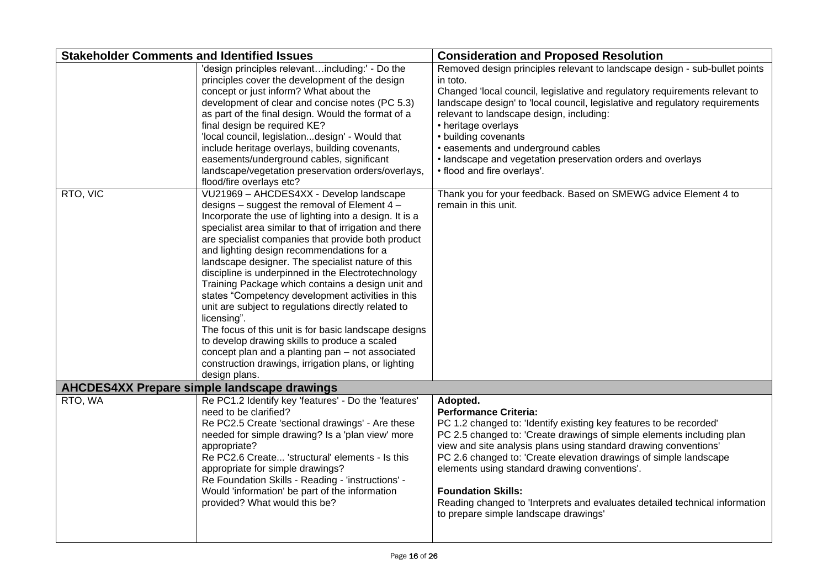| <b>Stakeholder Comments and Identified Issues</b> |                                                                                                                                                                                                                                                                                                                                                                                                                                                                                                                                                                                                                                                                                                                                                                                                                                                   | <b>Consideration and Proposed Resolution</b>                                                                                                                                                                                                                                                                                                                                                                                                                                                                                           |
|---------------------------------------------------|---------------------------------------------------------------------------------------------------------------------------------------------------------------------------------------------------------------------------------------------------------------------------------------------------------------------------------------------------------------------------------------------------------------------------------------------------------------------------------------------------------------------------------------------------------------------------------------------------------------------------------------------------------------------------------------------------------------------------------------------------------------------------------------------------------------------------------------------------|----------------------------------------------------------------------------------------------------------------------------------------------------------------------------------------------------------------------------------------------------------------------------------------------------------------------------------------------------------------------------------------------------------------------------------------------------------------------------------------------------------------------------------------|
|                                                   | 'design principles relevantincluding:' - Do the<br>principles cover the development of the design<br>concept or just inform? What about the<br>development of clear and concise notes (PC 5.3)<br>as part of the final design. Would the format of a<br>final design be required KE?<br>'local council, legislationdesign' - Would that<br>include heritage overlays, building covenants,<br>easements/underground cables, significant<br>landscape/vegetation preservation orders/overlays,<br>flood/fire overlays etc?                                                                                                                                                                                                                                                                                                                          | Removed design principles relevant to landscape design - sub-bullet points<br>in toto.<br>Changed 'local council, legislative and regulatory requirements relevant to<br>landscape design' to 'local council, legislative and regulatory requirements<br>relevant to landscape design, including:<br>• heritage overlays<br>• building covenants<br>· easements and underground cables<br>· landscape and vegetation preservation orders and overlays<br>• flood and fire overlays'.                                                   |
| RTO, VIC                                          | VU21969 - AHCDES4XX - Develop landscape<br>designs - suggest the removal of Element 4 -<br>Incorporate the use of lighting into a design. It is a<br>specialist area similar to that of irrigation and there<br>are specialist companies that provide both product<br>and lighting design recommendations for a<br>landscape designer. The specialist nature of this<br>discipline is underpinned in the Electrotechnology<br>Training Package which contains a design unit and<br>states "Competency development activities in this<br>unit are subject to regulations directly related to<br>licensing".<br>The focus of this unit is for basic landscape designs<br>to develop drawing skills to produce a scaled<br>concept plan and a planting pan - not associated<br>construction drawings, irrigation plans, or lighting<br>design plans. | Thank you for your feedback. Based on SMEWG advice Element 4 to<br>remain in this unit.                                                                                                                                                                                                                                                                                                                                                                                                                                                |
|                                                   | <b>AHCDES4XX Prepare simple landscape drawings</b>                                                                                                                                                                                                                                                                                                                                                                                                                                                                                                                                                                                                                                                                                                                                                                                                |                                                                                                                                                                                                                                                                                                                                                                                                                                                                                                                                        |
| RTO, WA                                           | Re PC1.2 Identify key 'features' - Do the 'features'<br>need to be clarified?<br>Re PC2.5 Create 'sectional drawings' - Are these<br>needed for simple drawing? Is a 'plan view' more<br>appropriate?<br>Re PC2.6 Create 'structural' elements - Is this<br>appropriate for simple drawings?<br>Re Foundation Skills - Reading - 'instructions' -<br>Would 'information' be part of the information<br>provided? What would this be?                                                                                                                                                                                                                                                                                                                                                                                                              | Adopted.<br><b>Performance Criteria:</b><br>PC 1.2 changed to: 'Identify existing key features to be recorded'<br>PC 2.5 changed to: 'Create drawings of simple elements including plan<br>view and site analysis plans using standard drawing conventions'<br>PC 2.6 changed to: 'Create elevation drawings of simple landscape<br>elements using standard drawing conventions'.<br><b>Foundation Skills:</b><br>Reading changed to 'Interprets and evaluates detailed technical information<br>to prepare simple landscape drawings' |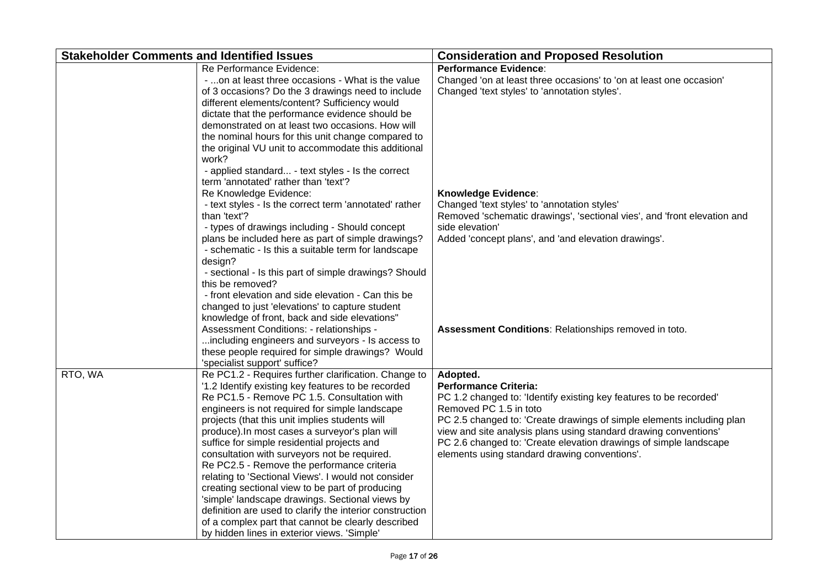| <b>Stakeholder Comments and Identified Issues</b> |                                                                                                                                                                                                                                                                                                                                                                                                                                                                                                                                                                                                                                                                                                                                                                                            | <b>Consideration and Proposed Resolution</b>                                                                                                                                                                                                                                                                                                                                                                |
|---------------------------------------------------|--------------------------------------------------------------------------------------------------------------------------------------------------------------------------------------------------------------------------------------------------------------------------------------------------------------------------------------------------------------------------------------------------------------------------------------------------------------------------------------------------------------------------------------------------------------------------------------------------------------------------------------------------------------------------------------------------------------------------------------------------------------------------------------------|-------------------------------------------------------------------------------------------------------------------------------------------------------------------------------------------------------------------------------------------------------------------------------------------------------------------------------------------------------------------------------------------------------------|
|                                                   | Re Performance Evidence:<br>- on at least three occasions - What is the value<br>of 3 occasions? Do the 3 drawings need to include<br>different elements/content? Sufficiency would<br>dictate that the performance evidence should be<br>demonstrated on at least two occasions. How will<br>the nominal hours for this unit change compared to<br>the original VU unit to accommodate this additional<br>work?                                                                                                                                                                                                                                                                                                                                                                           | <b>Performance Evidence:</b><br>Changed 'on at least three occasions' to 'on at least one occasion'<br>Changed 'text styles' to 'annotation styles'.                                                                                                                                                                                                                                                        |
|                                                   | - applied standard - text styles - Is the correct<br>term 'annotated' rather than 'text'?<br>Re Knowledge Evidence:<br>- text styles - Is the correct term 'annotated' rather<br>than 'text'?<br>- types of drawings including - Should concept<br>plans be included here as part of simple drawings?<br>- schematic - Is this a suitable term for landscape<br>design?<br>- sectional - Is this part of simple drawings? Should<br>this be removed?                                                                                                                                                                                                                                                                                                                                       | <b>Knowledge Evidence:</b><br>Changed 'text styles' to 'annotation styles'<br>Removed 'schematic drawings', 'sectional vies', and 'front elevation and<br>side elevation'<br>Added 'concept plans', and 'and elevation drawings'.                                                                                                                                                                           |
|                                                   | - front elevation and side elevation - Can this be<br>changed to just 'elevations' to capture student<br>knowledge of front, back and side elevations"<br>Assessment Conditions: - relationships -<br>including engineers and surveyors - Is access to<br>these people required for simple drawings? Would<br>'specialist support' suffice?                                                                                                                                                                                                                                                                                                                                                                                                                                                | Assessment Conditions: Relationships removed in toto.                                                                                                                                                                                                                                                                                                                                                       |
| RTO, WA                                           | Re PC1.2 - Requires further clarification. Change to<br>'1.2 Identify existing key features to be recorded<br>Re PC1.5 - Remove PC 1.5. Consultation with<br>engineers is not required for simple landscape<br>projects (that this unit implies students will<br>produce). In most cases a surveyor's plan will<br>suffice for simple residential projects and<br>consultation with surveyors not be required.<br>Re PC2.5 - Remove the performance criteria<br>relating to 'Sectional Views'. I would not consider<br>creating sectional view to be part of producing<br>'simple' landscape drawings. Sectional views by<br>definition are used to clarify the interior construction<br>of a complex part that cannot be clearly described<br>by hidden lines in exterior views. 'Simple' | Adopted.<br><b>Performance Criteria:</b><br>PC 1.2 changed to: 'Identify existing key features to be recorded'<br>Removed PC 1.5 in toto<br>PC 2.5 changed to: 'Create drawings of simple elements including plan<br>view and site analysis plans using standard drawing conventions'<br>PC 2.6 changed to: 'Create elevation drawings of simple landscape<br>elements using standard drawing conventions'. |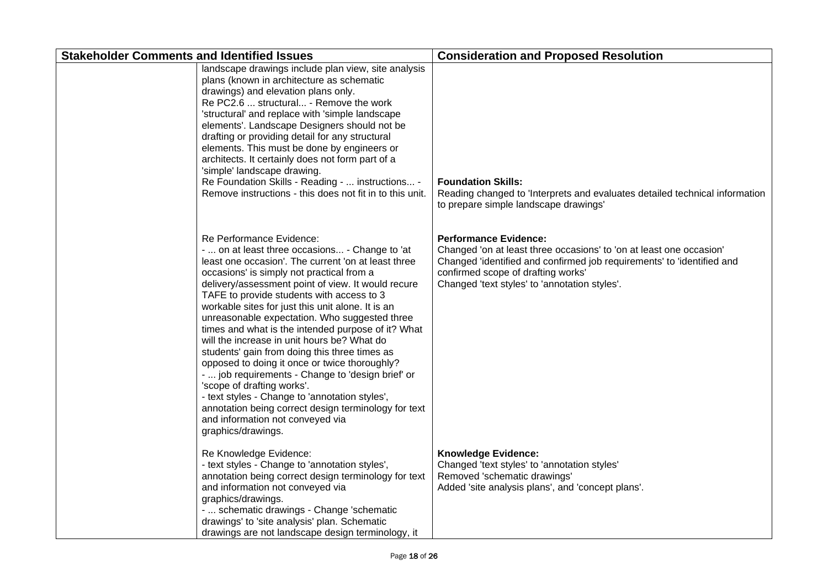| <b>Stakeholder Comments and Identified Issues</b> |                                                                                                                                                                                                                                                                                                                                                                                                                                                                                                                                                                                                                                                                                                                                                                                                                                                       | <b>Consideration and Proposed Resolution</b>                                                                                                                                                                                                                         |
|---------------------------------------------------|-------------------------------------------------------------------------------------------------------------------------------------------------------------------------------------------------------------------------------------------------------------------------------------------------------------------------------------------------------------------------------------------------------------------------------------------------------------------------------------------------------------------------------------------------------------------------------------------------------------------------------------------------------------------------------------------------------------------------------------------------------------------------------------------------------------------------------------------------------|----------------------------------------------------------------------------------------------------------------------------------------------------------------------------------------------------------------------------------------------------------------------|
|                                                   | landscape drawings include plan view, site analysis<br>plans (known in architecture as schematic<br>drawings) and elevation plans only.<br>Re PC2.6  structural - Remove the work<br>'structural' and replace with 'simple landscape<br>elements'. Landscape Designers should not be<br>drafting or providing detail for any structural<br>elements. This must be done by engineers or<br>architects. It certainly does not form part of a<br>'simple' landscape drawing.<br>Re Foundation Skills - Reading -  instructions -<br>Remove instructions - this does not fit in to this unit.                                                                                                                                                                                                                                                             | <b>Foundation Skills:</b><br>Reading changed to 'Interprets and evaluates detailed technical information<br>to prepare simple landscape drawings'                                                                                                                    |
|                                                   | Re Performance Evidence:<br>-  on at least three occasions - Change to 'at<br>least one occasion'. The current 'on at least three<br>occasions' is simply not practical from a<br>delivery/assessment point of view. It would recure<br>TAFE to provide students with access to 3<br>workable sites for just this unit alone. It is an<br>unreasonable expectation. Who suggested three<br>times and what is the intended purpose of it? What<br>will the increase in unit hours be? What do<br>students' gain from doing this three times as<br>opposed to doing it once or twice thoroughly?<br>-  job requirements - Change to 'design brief' or<br>'scope of drafting works'.<br>- text styles - Change to 'annotation styles',<br>annotation being correct design terminology for text<br>and information not conveyed via<br>graphics/drawings. | <b>Performance Evidence:</b><br>Changed 'on at least three occasions' to 'on at least one occasion'<br>Changed 'identified and confirmed job requirements' to 'identified and<br>confirmed scope of drafting works'<br>Changed 'text styles' to 'annotation styles'. |
|                                                   | Re Knowledge Evidence:<br>- text styles - Change to 'annotation styles',<br>annotation being correct design terminology for text<br>and information not conveyed via<br>graphics/drawings.<br>-  schematic drawings - Change 'schematic<br>drawings' to 'site analysis' plan. Schematic<br>drawings are not landscape design terminology, it                                                                                                                                                                                                                                                                                                                                                                                                                                                                                                          | <b>Knowledge Evidence:</b><br>Changed 'text styles' to 'annotation styles'<br>Removed 'schematic drawings'<br>Added 'site analysis plans', and 'concept plans'.                                                                                                      |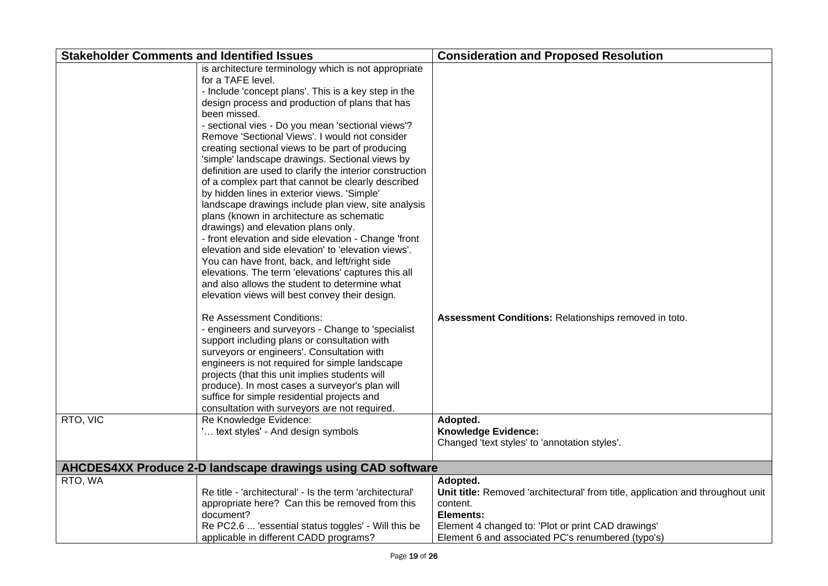| <b>Stakeholder Comments and Identified Issues</b> |                                                                                                                                                                                                                                                                                                                                                                                                                                                                                                                                                                                                                                                                                                                                                                                                                                                                                                                                                                                                                                                          | <b>Consideration and Proposed Resolution</b>                                                                                                                                                                                    |
|---------------------------------------------------|----------------------------------------------------------------------------------------------------------------------------------------------------------------------------------------------------------------------------------------------------------------------------------------------------------------------------------------------------------------------------------------------------------------------------------------------------------------------------------------------------------------------------------------------------------------------------------------------------------------------------------------------------------------------------------------------------------------------------------------------------------------------------------------------------------------------------------------------------------------------------------------------------------------------------------------------------------------------------------------------------------------------------------------------------------|---------------------------------------------------------------------------------------------------------------------------------------------------------------------------------------------------------------------------------|
|                                                   | is architecture terminology which is not appropriate<br>for a TAFE level.<br>- Include 'concept plans'. This is a key step in the<br>design process and production of plans that has<br>been missed.<br>- sectional vies - Do you mean 'sectional views'?<br>Remove 'Sectional Views'. I would not consider<br>creating sectional views to be part of producing<br>'simple' landscape drawings. Sectional views by<br>definition are used to clarify the interior construction<br>of a complex part that cannot be clearly described<br>by hidden lines in exterior views. 'Simple'<br>landscape drawings include plan view, site analysis<br>plans (known in architecture as schematic<br>drawings) and elevation plans only.<br>- front elevation and side elevation - Change 'front<br>elevation and side elevation' to 'elevation views'.<br>You can have front, back, and left/right side<br>elevations. The term 'elevations' captures this all<br>and also allows the student to determine what<br>elevation views will best convey their design. |                                                                                                                                                                                                                                 |
|                                                   | <b>Re Assessment Conditions:</b><br>- engineers and surveyors - Change to 'specialist<br>support including plans or consultation with<br>surveyors or engineers'. Consultation with<br>engineers is not required for simple landscape<br>projects (that this unit implies students will<br>produce). In most cases a surveyor's plan will<br>suffice for simple residential projects and<br>consultation with surveyors are not required.                                                                                                                                                                                                                                                                                                                                                                                                                                                                                                                                                                                                                | Assessment Conditions: Relationships removed in toto.                                                                                                                                                                           |
| RTO, VIC                                          | Re Knowledge Evidence:<br>' text styles' - And design symbols                                                                                                                                                                                                                                                                                                                                                                                                                                                                                                                                                                                                                                                                                                                                                                                                                                                                                                                                                                                            | Adopted.<br><b>Knowledge Evidence:</b><br>Changed 'text styles' to 'annotation styles'.                                                                                                                                         |
|                                                   | AHCDES4XX Produce 2-D landscape drawings using CAD software                                                                                                                                                                                                                                                                                                                                                                                                                                                                                                                                                                                                                                                                                                                                                                                                                                                                                                                                                                                              |                                                                                                                                                                                                                                 |
| RTO, WA                                           | Re title - 'architectural' - Is the term 'architectural'<br>appropriate here? Can this be removed from this<br>document?<br>Re PC2.6  'essential status toggles' - Will this be<br>applicable in different CADD programs?                                                                                                                                                                                                                                                                                                                                                                                                                                                                                                                                                                                                                                                                                                                                                                                                                                | Adopted.<br>Unit title: Removed 'architectural' from title, application and throughout unit<br>content.<br>Elements:<br>Element 4 changed to: 'Plot or print CAD drawings'<br>Element 6 and associated PC's renumbered (typo's) |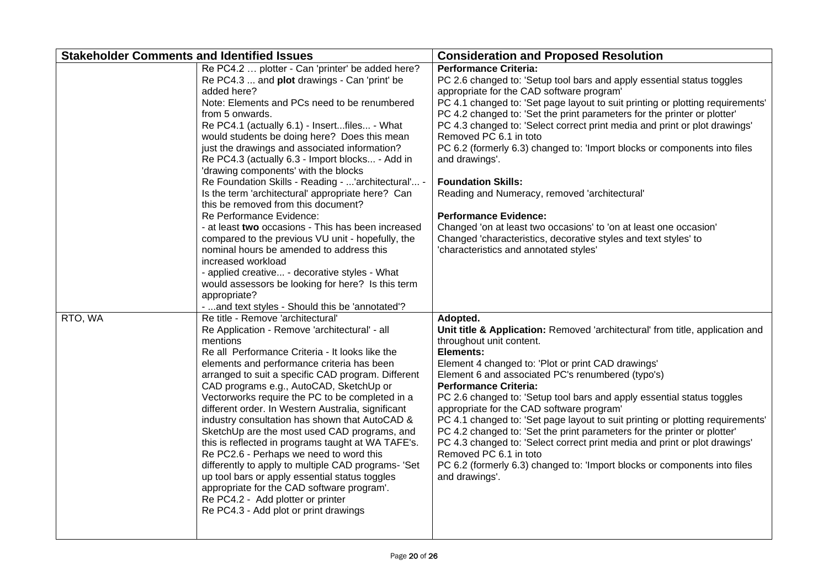| <b>Stakeholder Comments and Identified Issues</b> |                                                                                                                                                                                                                                                                                                                                                                                                                                                                                                                                                                                                                                                                                                                                                                                                                                                                                                                                                                                                                                                                                                                                                                                                                                                                                                                                                                                                                                                                                                                                                                                     | <b>Consideration and Proposed Resolution</b>                                                                                                                                                                                                                                                                                                                                                                                                                                                                                                                                                                                                                                                                                                                                                                                                                                                                                                                                                                                                                                                                                                                                                                                                                                                                                                                                                                                                                                                           |
|---------------------------------------------------|-------------------------------------------------------------------------------------------------------------------------------------------------------------------------------------------------------------------------------------------------------------------------------------------------------------------------------------------------------------------------------------------------------------------------------------------------------------------------------------------------------------------------------------------------------------------------------------------------------------------------------------------------------------------------------------------------------------------------------------------------------------------------------------------------------------------------------------------------------------------------------------------------------------------------------------------------------------------------------------------------------------------------------------------------------------------------------------------------------------------------------------------------------------------------------------------------------------------------------------------------------------------------------------------------------------------------------------------------------------------------------------------------------------------------------------------------------------------------------------------------------------------------------------------------------------------------------------|--------------------------------------------------------------------------------------------------------------------------------------------------------------------------------------------------------------------------------------------------------------------------------------------------------------------------------------------------------------------------------------------------------------------------------------------------------------------------------------------------------------------------------------------------------------------------------------------------------------------------------------------------------------------------------------------------------------------------------------------------------------------------------------------------------------------------------------------------------------------------------------------------------------------------------------------------------------------------------------------------------------------------------------------------------------------------------------------------------------------------------------------------------------------------------------------------------------------------------------------------------------------------------------------------------------------------------------------------------------------------------------------------------------------------------------------------------------------------------------------------------|
| RTO, WA                                           | Re PC4.2  plotter - Can 'printer' be added here?<br>Re PC4.3  and plot drawings - Can 'print' be<br>added here?<br>Note: Elements and PCs need to be renumbered<br>from 5 onwards.<br>Re PC4.1 (actually 6.1) - Insertfiles - What<br>would students be doing here? Does this mean<br>just the drawings and associated information?<br>Re PC4.3 (actually 6.3 - Import blocks - Add in<br>'drawing components' with the blocks<br>Re Foundation Skills - Reading - 'architectural' -<br>Is the term 'architectural' appropriate here? Can<br>this be removed from this document?<br>Re Performance Evidence:<br>- at least two occasions - This has been increased<br>compared to the previous VU unit - hopefully, the<br>nominal hours be amended to address this<br>increased workload<br>- applied creative - decorative styles - What<br>would assessors be looking for here? Is this term<br>appropriate?<br>-  and text styles - Should this be 'annotated'?<br>Re title - Remove 'architectural'<br>Re Application - Remove 'architectural' - all<br>mentions<br>Re all Performance Criteria - It looks like the<br>elements and performance criteria has been<br>arranged to suit a specific CAD program. Different<br>CAD programs e.g., AutoCAD, SketchUp or<br>Vectorworks require the PC to be completed in a<br>different order. In Western Australia, significant<br>industry consultation has shown that AutoCAD &<br>SketchUp are the most used CAD programs, and<br>this is reflected in programs taught at WA TAFE's.<br>Re PC2.6 - Perhaps we need to word this | <b>Performance Criteria:</b><br>PC 2.6 changed to: 'Setup tool bars and apply essential status toggles<br>appropriate for the CAD software program'<br>PC 4.1 changed to: 'Set page layout to suit printing or plotting requirements'<br>PC 4.2 changed to: 'Set the print parameters for the printer or plotter'<br>PC 4.3 changed to: 'Select correct print media and print or plot drawings'<br>Removed PC 6.1 in toto<br>PC 6.2 (formerly 6.3) changed to: 'Import blocks or components into files<br>and drawings'.<br><b>Foundation Skills:</b><br>Reading and Numeracy, removed 'architectural'<br><b>Performance Evidence:</b><br>Changed 'on at least two occasions' to 'on at least one occasion'<br>Changed 'characteristics, decorative styles and text styles' to<br>'characteristics and annotated styles'<br>Adopted.<br>Unit title & Application: Removed 'architectural' from title, application and<br>throughout unit content.<br>Elements:<br>Element 4 changed to: 'Plot or print CAD drawings'<br>Element 6 and associated PC's renumbered (typo's)<br><b>Performance Criteria:</b><br>PC 2.6 changed to: 'Setup tool bars and apply essential status toggles<br>appropriate for the CAD software program'<br>PC 4.1 changed to: 'Set page layout to suit printing or plotting requirements'<br>PC 4.2 changed to: 'Set the print parameters for the printer or plotter'<br>PC 4.3 changed to: 'Select correct print media and print or plot drawings'<br>Removed PC 6.1 in toto |
|                                                   | differently to apply to multiple CAD programs- 'Set<br>up tool bars or apply essential status toggles<br>appropriate for the CAD software program'.<br>Re PC4.2 - Add plotter or printer<br>Re PC4.3 - Add plot or print drawings                                                                                                                                                                                                                                                                                                                                                                                                                                                                                                                                                                                                                                                                                                                                                                                                                                                                                                                                                                                                                                                                                                                                                                                                                                                                                                                                                   | PC 6.2 (formerly 6.3) changed to: 'Import blocks or components into files<br>and drawings'.                                                                                                                                                                                                                                                                                                                                                                                                                                                                                                                                                                                                                                                                                                                                                                                                                                                                                                                                                                                                                                                                                                                                                                                                                                                                                                                                                                                                            |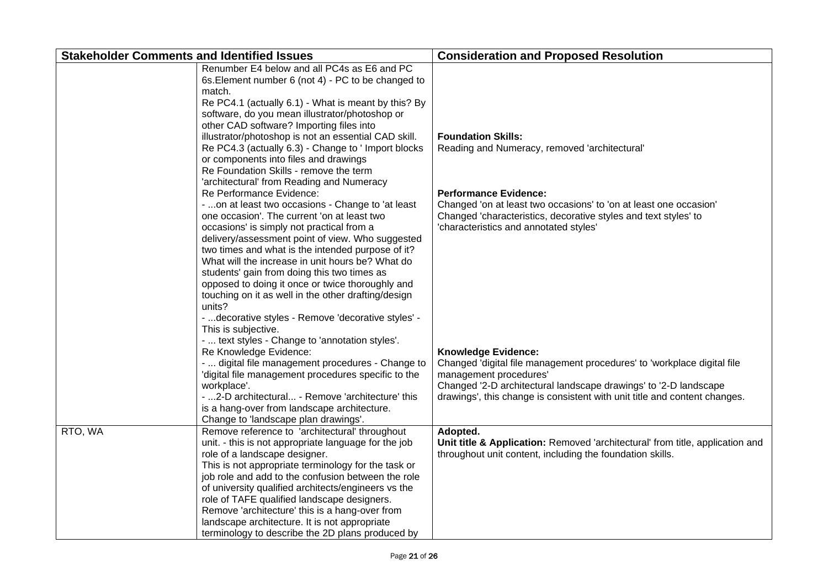| <b>Stakeholder Comments and Identified Issues</b> |                                                      | <b>Consideration and Proposed Resolution</b>                                  |
|---------------------------------------------------|------------------------------------------------------|-------------------------------------------------------------------------------|
|                                                   | Renumber E4 below and all PC4s as E6 and PC          |                                                                               |
|                                                   | 6s. Element number 6 (not 4) - PC to be changed to   |                                                                               |
|                                                   | match.                                               |                                                                               |
|                                                   | Re PC4.1 (actually 6.1) - What is meant by this? By  |                                                                               |
|                                                   | software, do you mean illustrator/photoshop or       |                                                                               |
|                                                   | other CAD software? Importing files into             |                                                                               |
|                                                   | illustrator/photoshop is not an essential CAD skill. | <b>Foundation Skills:</b>                                                     |
|                                                   | Re PC4.3 (actually 6.3) - Change to ' Import blocks  | Reading and Numeracy, removed 'architectural'                                 |
|                                                   | or components into files and drawings                |                                                                               |
|                                                   | Re Foundation Skills - remove the term               |                                                                               |
|                                                   | 'architectural' from Reading and Numeracy            |                                                                               |
|                                                   | Re Performance Evidence:                             | <b>Performance Evidence:</b>                                                  |
|                                                   | -  on at least two occasions - Change to 'at least   | Changed 'on at least two occasions' to 'on at least one occasion'             |
|                                                   | one occasion'. The current 'on at least two          | Changed 'characteristics, decorative styles and text styles' to               |
|                                                   | occasions' is simply not practical from a            | 'characteristics and annotated styles'                                        |
|                                                   | delivery/assessment point of view. Who suggested     |                                                                               |
|                                                   | two times and what is the intended purpose of it?    |                                                                               |
|                                                   | What will the increase in unit hours be? What do     |                                                                               |
|                                                   | students' gain from doing this two times as          |                                                                               |
|                                                   | opposed to doing it once or twice thoroughly and     |                                                                               |
|                                                   | touching on it as well in the other drafting/design  |                                                                               |
|                                                   | units?                                               |                                                                               |
|                                                   | -  decorative styles - Remove 'decorative styles' -  |                                                                               |
|                                                   | This is subjective.                                  |                                                                               |
|                                                   | -  text styles - Change to 'annotation styles'.      |                                                                               |
|                                                   | Re Knowledge Evidence:                               | <b>Knowledge Evidence:</b>                                                    |
|                                                   | -  digital file management procedures - Change to    | Changed 'digital file management procedures' to 'workplace digital file       |
|                                                   | 'digital file management procedures specific to the  | management procedures'                                                        |
|                                                   | workplace'.                                          | Changed '2-D architectural landscape drawings' to '2-D landscape              |
|                                                   | -  2-D architectural - Remove 'architecture' this    | drawings', this change is consistent with unit title and content changes.     |
|                                                   | is a hang-over from landscape architecture.          |                                                                               |
|                                                   | Change to 'landscape plan drawings'.                 |                                                                               |
| RTO, WA                                           | Remove reference to 'architectural' throughout       | Adopted.                                                                      |
|                                                   | unit. - this is not appropriate language for the job | Unit title & Application: Removed 'architectural' from title, application and |
|                                                   | role of a landscape designer.                        | throughout unit content, including the foundation skills.                     |
|                                                   | This is not appropriate terminology for the task or  |                                                                               |
|                                                   | job role and add to the confusion between the role   |                                                                               |
|                                                   | of university qualified architects/engineers vs the  |                                                                               |
|                                                   | role of TAFE qualified landscape designers.          |                                                                               |
|                                                   | Remove 'architecture' this is a hang-over from       |                                                                               |
|                                                   | landscape architecture. It is not appropriate        |                                                                               |
|                                                   | terminology to describe the 2D plans produced by     |                                                                               |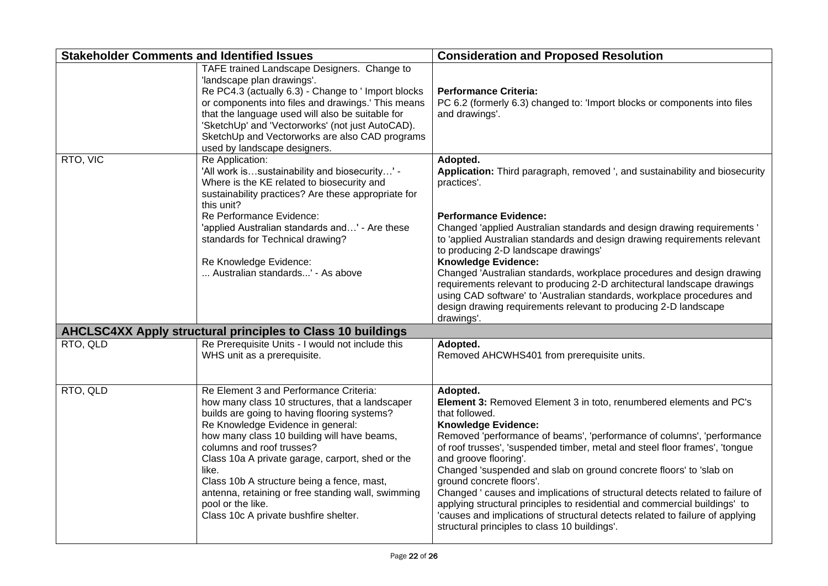| <b>Stakeholder Comments and Identified Issues</b> |                                                                                                                                                                                                                                                                                                                                                                                                                                                                                           | <b>Consideration and Proposed Resolution</b>                                                                                                                                                                                                                                                                                                                                                                                                                                                                                                                                                                                                                                                                        |
|---------------------------------------------------|-------------------------------------------------------------------------------------------------------------------------------------------------------------------------------------------------------------------------------------------------------------------------------------------------------------------------------------------------------------------------------------------------------------------------------------------------------------------------------------------|---------------------------------------------------------------------------------------------------------------------------------------------------------------------------------------------------------------------------------------------------------------------------------------------------------------------------------------------------------------------------------------------------------------------------------------------------------------------------------------------------------------------------------------------------------------------------------------------------------------------------------------------------------------------------------------------------------------------|
|                                                   | TAFE trained Landscape Designers. Change to<br>'landscape plan drawings'.<br>Re PC4.3 (actually 6.3) - Change to ' Import blocks<br>or components into files and drawings.' This means<br>that the language used will also be suitable for<br>'SketchUp' and 'Vectorworks' (not just AutoCAD).<br>SketchUp and Vectorworks are also CAD programs<br>used by landscape designers.                                                                                                          | <b>Performance Criteria:</b><br>PC 6.2 (formerly 6.3) changed to: 'Import blocks or components into files<br>and drawings'.                                                                                                                                                                                                                                                                                                                                                                                                                                                                                                                                                                                         |
| RTO, VIC                                          | Re Application:<br>'All work issustainability and biosecurity' -<br>Where is the KE related to biosecurity and<br>sustainability practices? Are these appropriate for<br>this unit?                                                                                                                                                                                                                                                                                                       | Adopted.<br>Application: Third paragraph, removed ', and sustainability and biosecurity<br>practices'.                                                                                                                                                                                                                                                                                                                                                                                                                                                                                                                                                                                                              |
|                                                   | Re Performance Evidence:<br>'applied Australian standards and' - Are these<br>standards for Technical drawing?<br>Re Knowledge Evidence:<br>Australian standards' - As above                                                                                                                                                                                                                                                                                                              | <b>Performance Evidence:</b><br>Changed 'applied Australian standards and design drawing requirements '<br>to 'applied Australian standards and design drawing requirements relevant<br>to producing 2-D landscape drawings'<br><b>Knowledge Evidence:</b><br>Changed 'Australian standards, workplace procedures and design drawing<br>requirements relevant to producing 2-D architectural landscape drawings<br>using CAD software' to 'Australian standards, workplace procedures and<br>design drawing requirements relevant to producing 2-D landscape<br>drawings'.                                                                                                                                          |
|                                                   | <b>AHCLSC4XX Apply structural principles to Class 10 buildings</b>                                                                                                                                                                                                                                                                                                                                                                                                                        |                                                                                                                                                                                                                                                                                                                                                                                                                                                                                                                                                                                                                                                                                                                     |
| RTO, QLD                                          | Re Prerequisite Units - I would not include this<br>WHS unit as a prerequisite.                                                                                                                                                                                                                                                                                                                                                                                                           | Adopted.<br>Removed AHCWHS401 from prerequisite units.                                                                                                                                                                                                                                                                                                                                                                                                                                                                                                                                                                                                                                                              |
| RTO, QLD                                          | Re Element 3 and Performance Criteria:<br>how many class 10 structures, that a landscaper<br>builds are going to having flooring systems?<br>Re Knowledge Evidence in general:<br>how many class 10 building will have beams,<br>columns and roof trusses?<br>Class 10a A private garage, carport, shed or the<br>like.<br>Class 10b A structure being a fence, mast,<br>antenna, retaining or free standing wall, swimming<br>pool or the like.<br>Class 10c A private bushfire shelter. | Adopted.<br>Element 3: Removed Element 3 in toto, renumbered elements and PC's<br>that followed.<br><b>Knowledge Evidence:</b><br>Removed 'performance of beams', 'performance of columns', 'performance<br>of roof trusses', 'suspended timber, metal and steel floor frames', 'tongue<br>and groove flooring'.<br>Changed 'suspended and slab on ground concrete floors' to 'slab on<br>ground concrete floors'.<br>Changed ' causes and implications of structural detects related to failure of<br>applying structural principles to residential and commercial buildings' to<br>'causes and implications of structural detects related to failure of applying<br>structural principles to class 10 buildings'. |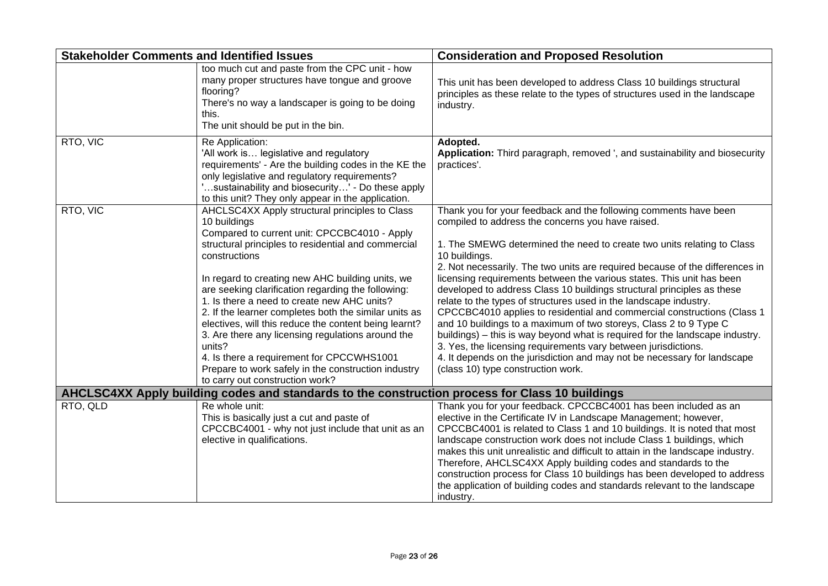| <b>Stakeholder Comments and Identified Issues</b>                                               |                                                                                                                                                                                                                                                                                                                                                                                                                                                                                                                                                                                                                                                                         | <b>Consideration and Proposed Resolution</b>                                                                                                                                                                                                                                                                                                                                                                                                                                                                                                                                                                                                                                                                                                                                                                                                                                                                                                 |  |
|-------------------------------------------------------------------------------------------------|-------------------------------------------------------------------------------------------------------------------------------------------------------------------------------------------------------------------------------------------------------------------------------------------------------------------------------------------------------------------------------------------------------------------------------------------------------------------------------------------------------------------------------------------------------------------------------------------------------------------------------------------------------------------------|----------------------------------------------------------------------------------------------------------------------------------------------------------------------------------------------------------------------------------------------------------------------------------------------------------------------------------------------------------------------------------------------------------------------------------------------------------------------------------------------------------------------------------------------------------------------------------------------------------------------------------------------------------------------------------------------------------------------------------------------------------------------------------------------------------------------------------------------------------------------------------------------------------------------------------------------|--|
|                                                                                                 | too much cut and paste from the CPC unit - how<br>many proper structures have tongue and groove<br>flooring?<br>There's no way a landscaper is going to be doing<br>this.<br>The unit should be put in the bin.                                                                                                                                                                                                                                                                                                                                                                                                                                                         | This unit has been developed to address Class 10 buildings structural<br>principles as these relate to the types of structures used in the landscape<br>industry.                                                                                                                                                                                                                                                                                                                                                                                                                                                                                                                                                                                                                                                                                                                                                                            |  |
| RTO, VIC                                                                                        | Re Application:<br>'All work is legislative and regulatory<br>requirements' - Are the building codes in the KE the<br>only legislative and regulatory requirements?<br>'sustainability and biosecurity' - Do these apply<br>to this unit? They only appear in the application.                                                                                                                                                                                                                                                                                                                                                                                          | Adopted.<br>Application: Third paragraph, removed ', and sustainability and biosecurity<br>practices'.                                                                                                                                                                                                                                                                                                                                                                                                                                                                                                                                                                                                                                                                                                                                                                                                                                       |  |
| RTO, VIC                                                                                        | AHCLSC4XX Apply structural principles to Class<br>10 buildings<br>Compared to current unit: CPCCBC4010 - Apply<br>structural principles to residential and commercial<br>constructions<br>In regard to creating new AHC building units, we<br>are seeking clarification regarding the following:<br>1. Is there a need to create new AHC units?<br>2. If the learner completes both the similar units as<br>electives, will this reduce the content being learnt?<br>3. Are there any licensing regulations around the<br>units?<br>4. Is there a requirement for CPCCWHS1001<br>Prepare to work safely in the construction industry<br>to carry out construction work? | Thank you for your feedback and the following comments have been<br>compiled to address the concerns you have raised.<br>1. The SMEWG determined the need to create two units relating to Class<br>10 buildings.<br>2. Not necessarily. The two units are required because of the differences in<br>licensing requirements between the various states. This unit has been<br>developed to address Class 10 buildings structural principles as these<br>relate to the types of structures used in the landscape industry.<br>CPCCBC4010 applies to residential and commercial constructions (Class 1<br>and 10 buildings to a maximum of two storeys, Class 2 to 9 Type C<br>buildings) – this is way beyond what is required for the landscape industry.<br>3. Yes, the licensing requirements vary between jurisdictions.<br>4. It depends on the jurisdiction and may not be necessary for landscape<br>(class 10) type construction work. |  |
| AHCLSC4XX Apply building codes and standards to the construction process for Class 10 buildings |                                                                                                                                                                                                                                                                                                                                                                                                                                                                                                                                                                                                                                                                         |                                                                                                                                                                                                                                                                                                                                                                                                                                                                                                                                                                                                                                                                                                                                                                                                                                                                                                                                              |  |
| RTO, QLD                                                                                        | Re whole unit:<br>This is basically just a cut and paste of<br>CPCCBC4001 - why not just include that unit as an<br>elective in qualifications.                                                                                                                                                                                                                                                                                                                                                                                                                                                                                                                         | Thank you for your feedback. CPCCBC4001 has been included as an<br>elective in the Certificate IV in Landscape Management; however,<br>CPCCBC4001 is related to Class 1 and 10 buildings. It is noted that most<br>landscape construction work does not include Class 1 buildings, which<br>makes this unit unrealistic and difficult to attain in the landscape industry.<br>Therefore, AHCLSC4XX Apply building codes and standards to the<br>construction process for Class 10 buildings has been developed to address<br>the application of building codes and standards relevant to the landscape<br>industry.                                                                                                                                                                                                                                                                                                                          |  |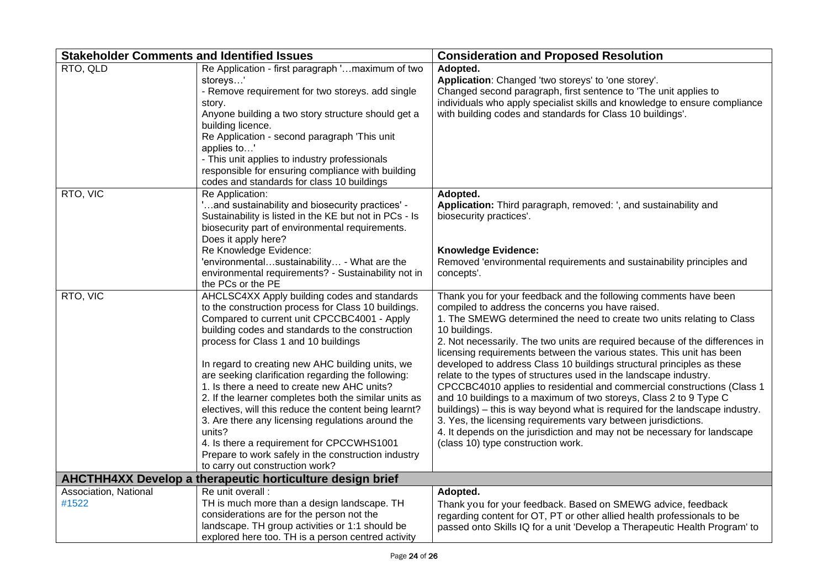| <b>Stakeholder Comments and Identified Issues</b> |                                                                                                                                                                                                                                                                                                                                                                                                                                                                                                                                                                                                                                                                                                                                 | <b>Consideration and Proposed Resolution</b>                                                                                                                                                                                                                                                                                                                                                                                                                                                                                                                                                                                                                                                                                                                                                                                                                                                                                                 |
|---------------------------------------------------|---------------------------------------------------------------------------------------------------------------------------------------------------------------------------------------------------------------------------------------------------------------------------------------------------------------------------------------------------------------------------------------------------------------------------------------------------------------------------------------------------------------------------------------------------------------------------------------------------------------------------------------------------------------------------------------------------------------------------------|----------------------------------------------------------------------------------------------------------------------------------------------------------------------------------------------------------------------------------------------------------------------------------------------------------------------------------------------------------------------------------------------------------------------------------------------------------------------------------------------------------------------------------------------------------------------------------------------------------------------------------------------------------------------------------------------------------------------------------------------------------------------------------------------------------------------------------------------------------------------------------------------------------------------------------------------|
| RTO, QLD                                          | Re Application - first paragraph 'maximum of two<br>storeys'<br>- Remove requirement for two storeys. add single<br>story.<br>Anyone building a two story structure should get a<br>building licence.<br>Re Application - second paragraph 'This unit<br>applies to'<br>- This unit applies to industry professionals<br>responsible for ensuring compliance with building<br>codes and standards for class 10 buildings                                                                                                                                                                                                                                                                                                        | Adopted.<br>Application: Changed 'two storeys' to 'one storey'.<br>Changed second paragraph, first sentence to 'The unit applies to<br>individuals who apply specialist skills and knowledge to ensure compliance<br>with building codes and standards for Class 10 buildings'.                                                                                                                                                                                                                                                                                                                                                                                                                                                                                                                                                                                                                                                              |
| RTO, VIC                                          | Re Application:<br>'and sustainability and biosecurity practices' -<br>Sustainability is listed in the KE but not in PCs - Is<br>biosecurity part of environmental requirements.<br>Does it apply here?<br>Re Knowledge Evidence:<br>'environmentalsustainability - What are the<br>environmental requirements? - Sustainability not in<br>the PCs or the PE                                                                                                                                                                                                                                                                                                                                                                    | Adopted.<br>Application: Third paragraph, removed: ', and sustainability and<br>biosecurity practices'.<br><b>Knowledge Evidence:</b><br>Removed 'environmental requirements and sustainability principles and<br>concepts'.                                                                                                                                                                                                                                                                                                                                                                                                                                                                                                                                                                                                                                                                                                                 |
| RTO, VIC                                          | AHCLSC4XX Apply building codes and standards<br>to the construction process for Class 10 buildings.<br>Compared to current unit CPCCBC4001 - Apply<br>building codes and standards to the construction<br>process for Class 1 and 10 buildings<br>In regard to creating new AHC building units, we<br>are seeking clarification regarding the following:<br>1. Is there a need to create new AHC units?<br>2. If the learner completes both the similar units as<br>electives, will this reduce the content being learnt?<br>3. Are there any licensing regulations around the<br>units?<br>4. Is there a requirement for CPCCWHS1001<br>Prepare to work safely in the construction industry<br>to carry out construction work? | Thank you for your feedback and the following comments have been<br>compiled to address the concerns you have raised.<br>1. The SMEWG determined the need to create two units relating to Class<br>10 buildings.<br>2. Not necessarily. The two units are required because of the differences in<br>licensing requirements between the various states. This unit has been<br>developed to address Class 10 buildings structural principles as these<br>relate to the types of structures used in the landscape industry.<br>CPCCBC4010 applies to residential and commercial constructions (Class 1<br>and 10 buildings to a maximum of two storeys, Class 2 to 9 Type C<br>buildings) – this is way beyond what is required for the landscape industry.<br>3. Yes, the licensing requirements vary between jurisdictions.<br>4. It depends on the jurisdiction and may not be necessary for landscape<br>(class 10) type construction work. |
|                                                   | <b>AHCTHH4XX Develop a therapeutic horticulture design brief</b>                                                                                                                                                                                                                                                                                                                                                                                                                                                                                                                                                                                                                                                                |                                                                                                                                                                                                                                                                                                                                                                                                                                                                                                                                                                                                                                                                                                                                                                                                                                                                                                                                              |
| Association, National<br>#1522                    | Re unit overall :<br>TH is much more than a design landscape. TH<br>considerations are for the person not the<br>landscape. TH group activities or 1:1 should be<br>explored here too. TH is a person centred activity                                                                                                                                                                                                                                                                                                                                                                                                                                                                                                          | Adopted.<br>Thank you for your feedback. Based on SMEWG advice, feedback<br>regarding content for OT, PT or other allied health professionals to be<br>passed onto Skills IQ for a unit 'Develop a Therapeutic Health Program' to                                                                                                                                                                                                                                                                                                                                                                                                                                                                                                                                                                                                                                                                                                            |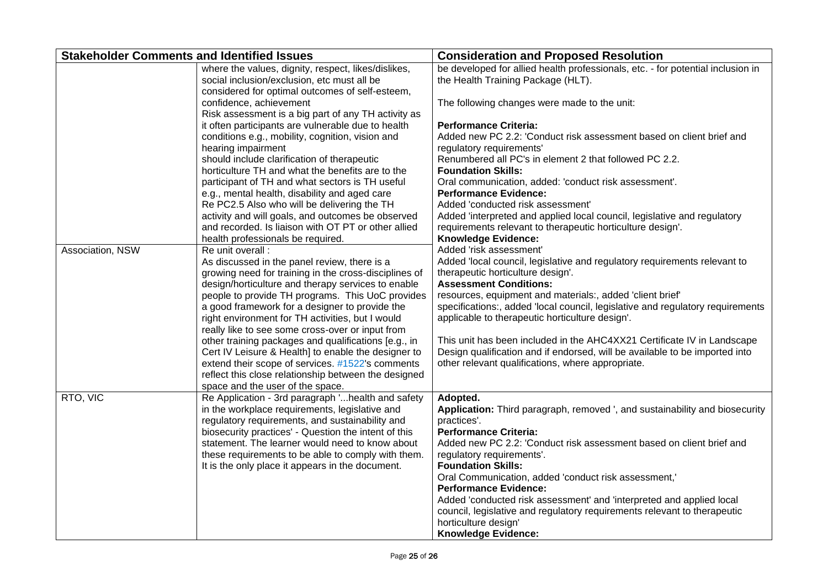| <b>Stakeholder Comments and Identified Issues</b> |                                                                                                                                                       | <b>Consideration and Proposed Resolution</b>                                                                          |
|---------------------------------------------------|-------------------------------------------------------------------------------------------------------------------------------------------------------|-----------------------------------------------------------------------------------------------------------------------|
|                                                   | where the values, dignity, respect, likes/dislikes,<br>social inclusion/exclusion, etc must all be<br>considered for optimal outcomes of self-esteem, | be developed for allied health professionals, etc. - for potential inclusion in<br>the Health Training Package (HLT). |
|                                                   | confidence, achievement<br>Risk assessment is a big part of any TH activity as                                                                        | The following changes were made to the unit:                                                                          |
|                                                   | it often participants are vulnerable due to health<br>conditions e.g., mobility, cognition, vision and                                                | <b>Performance Criteria:</b><br>Added new PC 2.2: 'Conduct risk assessment based on client brief and                  |
|                                                   | hearing impairment                                                                                                                                    | regulatory requirements'                                                                                              |
|                                                   | should include clarification of therapeutic                                                                                                           | Renumbered all PC's in element 2 that followed PC 2.2.                                                                |
|                                                   | horticulture TH and what the benefits are to the<br>participant of TH and what sectors is TH useful                                                   | <b>Foundation Skills:</b><br>Oral communication, added: 'conduct risk assessment'.                                    |
|                                                   | e.g., mental health, disability and aged care                                                                                                         | <b>Performance Evidence:</b>                                                                                          |
|                                                   | Re PC2.5 Also who will be delivering the TH<br>activity and will goals, and outcomes be observed                                                      | Added 'conducted risk assessment'<br>Added 'interpreted and applied local council, legislative and regulatory         |
|                                                   | and recorded. Is liaison with OT PT or other allied                                                                                                   | requirements relevant to therapeutic horticulture design'.                                                            |
|                                                   | health professionals be required.                                                                                                                     | <b>Knowledge Evidence:</b>                                                                                            |
| Association, NSW                                  | Re unit overall :                                                                                                                                     | Added 'risk assessment'                                                                                               |
|                                                   | As discussed in the panel review, there is a                                                                                                          | Added 'local council, legislative and regulatory requirements relevant to                                             |
|                                                   | growing need for training in the cross-disciplines of                                                                                                 | therapeutic horticulture design'.<br><b>Assessment Conditions:</b>                                                    |
|                                                   | design/horticulture and therapy services to enable                                                                                                    | resources, equipment and materials:, added 'client brief'                                                             |
|                                                   | people to provide TH programs. This UoC provides<br>a good framework for a designer to provide the                                                    | specifications:, added 'local council, legislative and regulatory requirements                                        |
|                                                   | right environment for TH activities, but I would                                                                                                      | applicable to therapeutic horticulture design'.                                                                       |
|                                                   | really like to see some cross-over or input from                                                                                                      |                                                                                                                       |
|                                                   | other training packages and qualifications [e.g., in                                                                                                  | This unit has been included in the AHC4XX21 Certificate IV in Landscape                                               |
|                                                   | Cert IV Leisure & Health] to enable the designer to                                                                                                   | Design qualification and if endorsed, will be available to be imported into                                           |
|                                                   | extend their scope of services. #1522's comments                                                                                                      | other relevant qualifications, where appropriate.                                                                     |
|                                                   | reflect this close relationship between the designed<br>space and the user of the space.                                                              |                                                                                                                       |
| RTO, VIC                                          | Re Application - 3rd paragraph ' health and safety                                                                                                    | Adopted.                                                                                                              |
|                                                   | in the workplace requirements, legislative and<br>regulatory requirements, and sustainability and                                                     | Application: Third paragraph, removed ', and sustainability and biosecurity<br>practices'.                            |
|                                                   | biosecurity practices' - Question the intent of this                                                                                                  | <b>Performance Criteria:</b>                                                                                          |
|                                                   | statement. The learner would need to know about                                                                                                       | Added new PC 2.2: 'Conduct risk assessment based on client brief and                                                  |
|                                                   | these requirements to be able to comply with them.                                                                                                    | regulatory requirements'.                                                                                             |
|                                                   | It is the only place it appears in the document.                                                                                                      | <b>Foundation Skills:</b>                                                                                             |
|                                                   |                                                                                                                                                       | Oral Communication, added 'conduct risk assessment,'                                                                  |
|                                                   |                                                                                                                                                       | <b>Performance Evidence:</b><br>Added 'conducted risk assessment' and 'interpreted and applied local                  |
|                                                   |                                                                                                                                                       | council, legislative and regulatory requirements relevant to therapeutic                                              |
|                                                   |                                                                                                                                                       | horticulture design'                                                                                                  |
|                                                   |                                                                                                                                                       | <b>Knowledge Evidence:</b>                                                                                            |